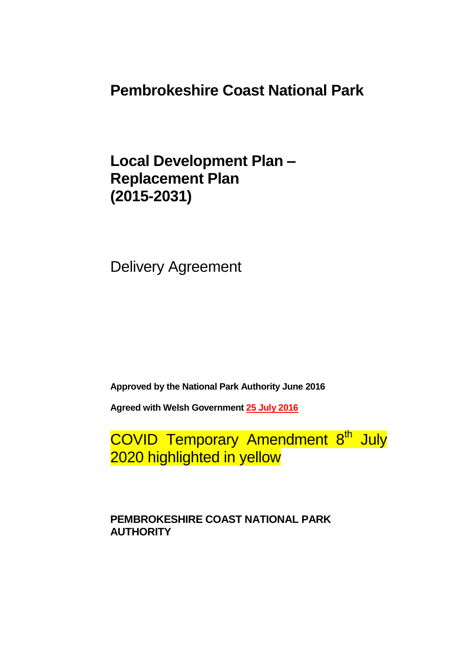**Pembrokeshire Coast National Park**

**Local Development Plan – Replacement Plan (2015-2031)**

Delivery Agreement

**Approved by the National Park Authority June 2016**

**Agreed with Welsh Government 25 July 2016**

COVID Temporary Amendment 8<sup>th</sup> July 2020 highlighted in yellow

**PEMBROKESHIRE COAST NATIONAL PARK AUTHORITY**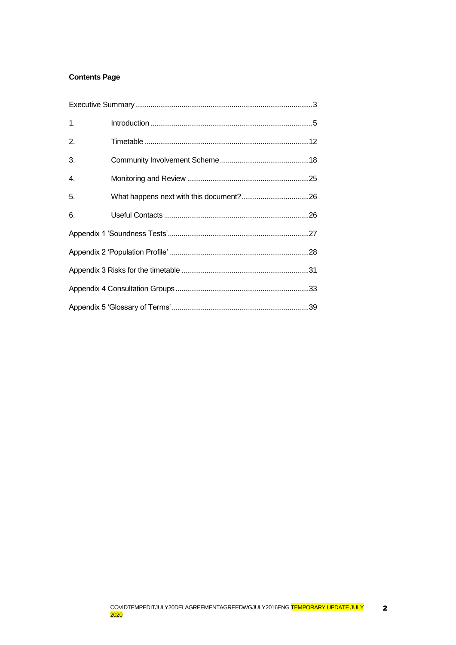### **Contents Page**

| 1. |  |
|----|--|
| 2. |  |
| 3. |  |
| 4. |  |
| 5. |  |
| 6. |  |
|    |  |
|    |  |
|    |  |
|    |  |
|    |  |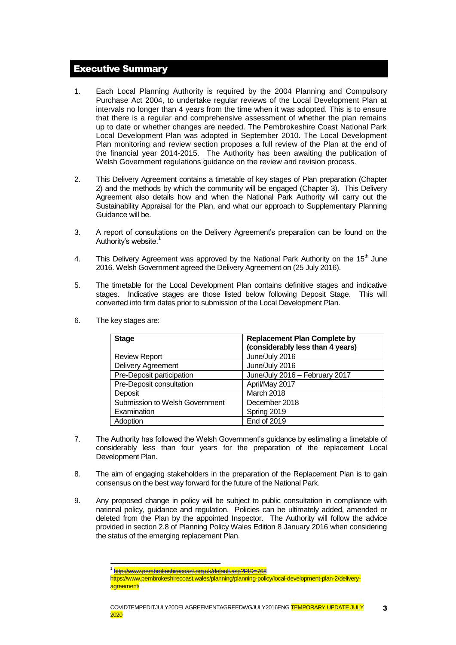### <span id="page-2-0"></span>Executive Summary

- 1. Each Local Planning Authority is required by the 2004 Planning and Compulsory Purchase Act 2004, to undertake regular reviews of the Local Development Plan at intervals no longer than 4 years from the time when it was adopted. This is to ensure that there is a regular and comprehensive assessment of whether the plan remains up to date or whether changes are needed. The Pembrokeshire Coast National Park Local Development Plan was adopted in September 2010. The Local Development Plan monitoring and review section proposes a full review of the Plan at the end of the financial year 2014-2015. The Authority has been awaiting the publication of Welsh Government regulations guidance on the review and revision process.
- 2. This Delivery Agreement contains a timetable of key stages of Plan preparation (Chapter 2) and the methods by which the community will be engaged (Chapter 3). This Delivery Agreement also details how and when the National Park Authority will carry out the Sustainability Appraisal for the Plan, and what our approach to Supplementary Planning Guidance will be.
- 3. A report of consultations on the Delivery Agreement's preparation can be found on the Authority's website.<sup>1</sup>
- 4. This Delivery Agreement was approved by the National Park Authority on the 15<sup>th</sup> June 2016. Welsh Government agreed the Delivery Agreement on (25 July 2016).
- 5. The timetable for the Local Development Plan contains definitive stages and indicative stages. Indicative stages are those listed below following Deposit Stage. This will converted into firm dates prior to submission of the Local Development Plan.

| <b>Stage</b>                   | <b>Replacement Plan Complete by</b> |
|--------------------------------|-------------------------------------|
|                                | (considerably less than 4 years)    |
| <b>Review Report</b>           | June/July 2016                      |
| Delivery Agreement             | June/July 2016                      |
| Pre-Deposit participation      | June/July 2016 - February 2017      |
| Pre-Deposit consultation       | April/May 2017                      |
| Deposit                        | March 2018                          |
| Submission to Welsh Government | December 2018                       |
| Examination                    | Spring 2019                         |
| Adoption                       | <b>End of 2019</b>                  |

6. The key stages are:

- 7. The Authority has followed the Welsh Government's guidance by estimating a timetable of considerably less than four years for the preparation of the replacement Local Development Plan.
- 8. The aim of engaging stakeholders in the preparation of the Replacement Plan is to gain consensus on the best way forward for the future of the National Park.
- 9. Any proposed change in policy will be subject to public consultation in compliance with national policy, guidance and regulation. Policies can be ultimately added, amended or deleted from the Plan by the appointed Inspector. The Authority will follow the advice provided in section 2.8 of Planning Policy Wales Edition 8 January 2016 when considering the status of the emerging replacement Plan.

<sup>1</sup> 1 <http://www.pembrokeshirecoast.org.uk/default.asp?PID=768>

https://www.pembrokeshirecoast.wales/planning/planning-policy/local-development-plan-2/deliveryagreement/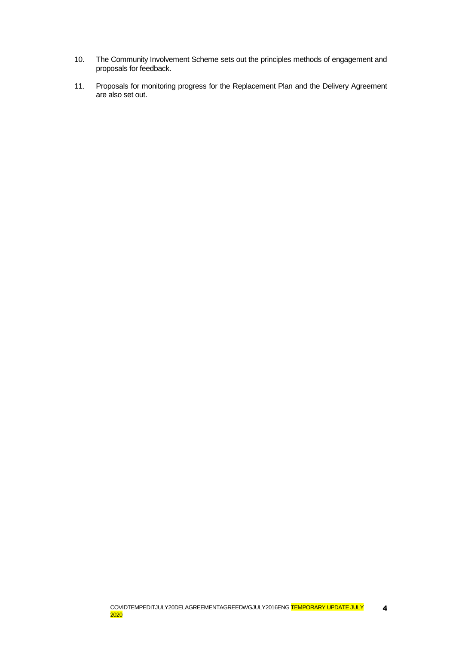- 10. The Community Involvement Scheme sets out the principles methods of engagement and proposals for feedback.
- 11. Proposals for monitoring progress for the Replacement Plan and the Delivery Agreement are also set out.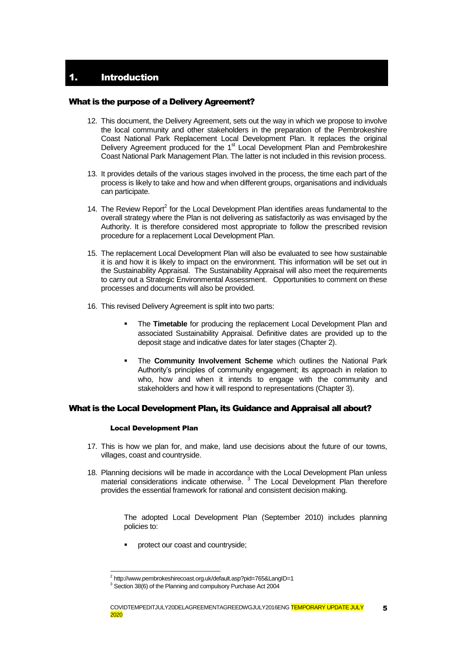### <span id="page-4-0"></span>What is the purpose of a Delivery Agreement?

- 12. This document, the Delivery Agreement, sets out the way in which we propose to involve the local community and other stakeholders in the preparation of the Pembrokeshire Coast National Park Replacement Local Development Plan. It replaces the original Delivery Agreement produced for the 1<sup>st</sup> Local Development Plan and Pembrokeshire Coast National Park Management Plan. The latter is not included in this revision process.
- 13. It provides details of the various stages involved in the process, the time each part of the process is likely to take and how and when different groups, organisations and individuals can participate.
- 14. The Review Report $2$  for the Local Development Plan identifies areas fundamental to the overall strategy where the Plan is not delivering as satisfactorily as was envisaged by the Authority. It is therefore considered most appropriate to follow the prescribed revision procedure for a replacement Local Development Plan.
- 15. The replacement Local Development Plan will also be evaluated to see how sustainable it is and how it is likely to impact on the environment. This information will be set out in the Sustainability Appraisal. The Sustainability Appraisal will also meet the requirements to carry out a Strategic Environmental Assessment. Opportunities to comment on these processes and documents will also be provided.
- 16. This revised Delivery Agreement is split into two parts:
	- **The Timetable** for producing the replacement Local Development Plan and associated Sustainability Appraisal. Definitive dates are provided up to the deposit stage and indicative dates for later stages (Chapter 2).
	- The **Community Involvement Scheme** which outlines the National Park Authority's principles of community engagement; its approach in relation to who, how and when it intends to engage with the community and stakeholders and how it will respond to representations (Chapter 3).

#### What is the Local Development Plan, its Guidance and Appraisal all about?

#### Local Development Plan

1

- 17. This is how we plan for, and make, land use decisions about the future of our towns, villages, coast and countryside.
- 18. Planning decisions will be made in accordance with the Local Development Plan unless material considerations indicate otherwise.<sup>3</sup> The Local Development Plan therefore provides the essential framework for rational and consistent decision making.

The adopted Local Development Plan (September 2010) includes planning policies to:

protect our coast and countryside;

<sup>&</sup>lt;sup>2</sup> http://www.pembrokeshirecoast.org.uk/default.asp?pid=765&LangID=1

<sup>&</sup>lt;sup>3</sup> Section 38(6) of the Planning and compulsory Purchase Act 2004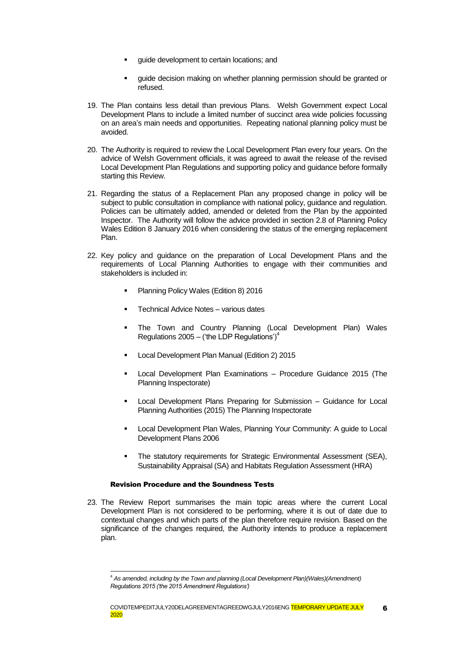- guide development to certain locations; and
- guide decision making on whether planning permission should be granted or refused.
- 19. The Plan contains less detail than previous Plans. Welsh Government expect Local Development Plans to include a limited number of succinct area wide policies focussing on an area's main needs and opportunities. Repeating national planning policy must be avoided.
- 20. The Authority is required to review the Local Development Plan every four years. On the advice of Welsh Government officials, it was agreed to await the release of the revised Local Development Plan Regulations and supporting policy and guidance before formally starting this Review.
- 21. Regarding the status of a Replacement Plan any proposed change in policy will be subject to public consultation in compliance with national policy, guidance and regulation. Policies can be ultimately added, amended or deleted from the Plan by the appointed Inspector. The Authority will follow the advice provided in section 2.8 of Planning Policy Wales Edition 8 January 2016 when considering the status of the emerging replacement Plan.
- 22. Key policy and guidance on the preparation of Local Development Plans and the requirements of Local Planning Authorities to engage with their communities and stakeholders is included in:
	- Planning Policy Wales (Edition 8) 2016
	- Technical Advice Notes various dates
	- **The Town and Country Planning (Local Development Plan) Wales** Regulations 2005 – ('the LDP Regulations') $<sup>4</sup>$ </sup>
	- Local Development Plan Manual (Edition 2) 2015
	- Local Development Plan Examinations Procedure Guidance 2015 (The Planning Inspectorate)
	- **EXEC** Local Development Plans Preparing for Submission Guidance for Local Planning Authorities (2015) The Planning Inspectorate
	- **Local Development Plan Wales, Planning Your Community: A guide to Local** Development Plans 2006
	- The statutory requirements for Strategic Environmental Assessment (SEA), Sustainability Appraisal (SA) and Habitats Regulation Assessment (HRA)

#### Revision Procedure and the Soundness Tests

1

23. The Review Report summarises the main topic areas where the current Local Development Plan is not considered to be performing, where it is out of date due to contextual changes and which parts of the plan therefore require revision. Based on the significance of the changes required, the Authority intends to produce a replacement plan.

<sup>4</sup> *As amended, including by the Town and planning (Local Development Plan)(Wales)(Amendment) Regulations 2015 ('the 2015 Amendment Regulations')*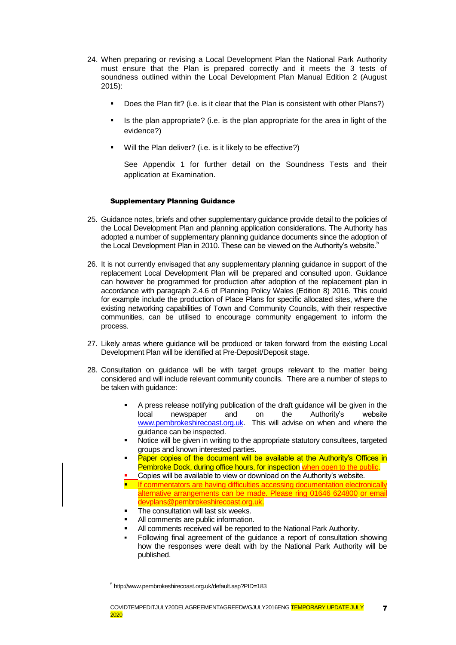- 24. When preparing or revising a Local Development Plan the National Park Authority must ensure that the Plan is prepared correctly and it meets the 3 tests of soundness outlined within the Local Development Plan Manual Edition 2 (August 2015):
	- Does the Plan fit? (i.e. is it clear that the Plan is consistent with other Plans?)
	- Is the plan appropriate? (i.e. is the plan appropriate for the area in light of the evidence?)
	- Will the Plan deliver? (i.e. is it likely to be effective?)

See Appendix 1 for further detail on the Soundness Tests and their application at Examination.

#### Supplementary Planning Guidance

- 25. Guidance notes, briefs and other supplementary guidance provide detail to the policies of the Local Development Plan and planning application considerations. The Authority has adopted a number of supplementary planning guidance documents since the adoption of the Local Development Plan in 2010. These can be viewed on the Authority's website.<sup>5</sup>
- 26. It is not currently envisaged that any supplementary planning guidance in support of the replacement Local Development Plan will be prepared and consulted upon. Guidance can however be programmed for production after adoption of the replacement plan in accordance with paragraph 2.4.6 of Planning Policy Wales (Edition 8) 2016. This could for example include the production of Place Plans for specific allocated sites, where the existing networking capabilities of Town and Community Councils, with their respective communities, can be utilised to encourage community engagement to inform the process.
- 27. Likely areas where guidance will be produced or taken forward from the existing Local Development Plan will be identified at Pre-Deposit/Deposit stage.
- 28. Consultation on guidance will be with target groups relevant to the matter being considered and will include relevant community councils. There are a number of steps to be taken with guidance:
	- A press release notifying publication of the draft guidance will be given in the local newspaper and on the Authority's website [www.pembrokeshirecoast.org.uk.](http://www.pembrokeshirecoast.org.uk/) This will advise on when and where the guidance can be inspected.
	- Notice will be given in writing to the appropriate statutory consultees, targeted groups and known interested parties.
	- Paper copies of the document will be available at the Authority's Offices in Pembroke Dock, during office hours, for inspection when open to the public.
	- Copies will be available to view or download on the Authority's website.
	- If commentators are having difficulties accessing documentation electronically alternative arrangements can be made. Please ring 01646 624800 or email devplans@pembrokeshirecoast.org.uk.
	- The consultation will last six weeks.
	- All comments are public information.
	- All comments received will be reported to the National Park Authority.
	- Following final agreement of the guidance a report of consultation showing how the responses were dealt with by the National Park Authority will be published.

-

<sup>5</sup> http://www.pembrokeshirecoast.org.uk/default.asp?PID=183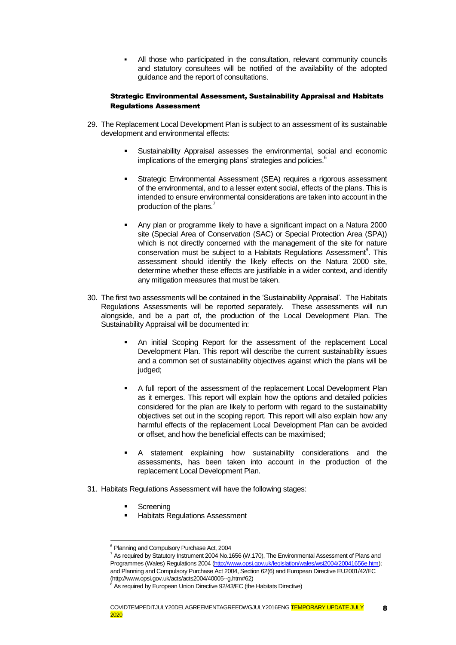All those who participated in the consultation, relevant community councils and statutory consultees will be notified of the availability of the adopted guidance and the report of consultations.

#### Strategic Environmental Assessment, Sustainability Appraisal and Habitats Regulations Assessment

- 29. The Replacement Local Development Plan is subject to an assessment of its sustainable development and environmental effects:
	- Sustainability Appraisal assesses the environmental, social and economic implications of the emerging plans' strategies and policies.<sup>6</sup>
	- Strategic Environmental Assessment (SEA) requires a rigorous assessment of the environmental, and to a lesser extent social, effects of the plans. This is intended to ensure environmental considerations are taken into account in the production of the plans.<sup>7</sup>
	- Any plan or programme likely to have a significant impact on a Natura 2000 site (Special Area of Conservation (SAC) or Special Protection Area (SPA)) which is not directly concerned with the management of the site for nature conservation must be subject to a Habitats Regulations Assessment<sup>8</sup>. This assessment should identify the likely effects on the Natura 2000 site, determine whether these effects are justifiable in a wider context, and identify any mitigation measures that must be taken.
- 30. The first two assessments will be contained in the 'Sustainability Appraisal'. The Habitats Regulations Assessments will be reported separately. These assessments will run alongside, and be a part of, the production of the Local Development Plan. The Sustainability Appraisal will be documented in:
	- An initial Scoping Report for the assessment of the replacement Local Development Plan. This report will describe the current sustainability issues and a common set of sustainability objectives against which the plans will be judged;
	- A full report of the assessment of the replacement Local Development Plan as it emerges. This report will explain how the options and detailed policies considered for the plan are likely to perform with regard to the sustainability objectives set out in the scoping report. This report will also explain how any harmful effects of the replacement Local Development Plan can be avoided or offset, and how the beneficial effects can be maximised;
	- A statement explaining how sustainability considerations and the assessments, has been taken into account in the production of the replacement Local Development Plan.
- 31. Habitats Regulations Assessment will have the following stages:
	- **Screening**

1

Habitats Regulations Assessment

<sup>&</sup>lt;sup>6</sup> Planning and Compulsory Purchase Act, 2004

 $7$  As required by Statutory Instrument 2004 No.1656 (W.170), The Environmental Assessment of Plans and Programmes (Wales) Regulations 2004 [\(http://www.opsi.gov.uk/legislation/wales/wsi2004/20041656e.htm\)](http://www.opsi.gov.uk/legislation/wales/wsi2004/20041656e.htm); and Planning and Compulsory Purchase Act 2004, Section 62(6) and European Directive EU2001/42/EC (http://www.opsi.gov.uk/acts/acts2004/40005--g.htm#62)

 $8\overline{B}$  As required by European Union Directive 92/43/EC (the Habitats Directive)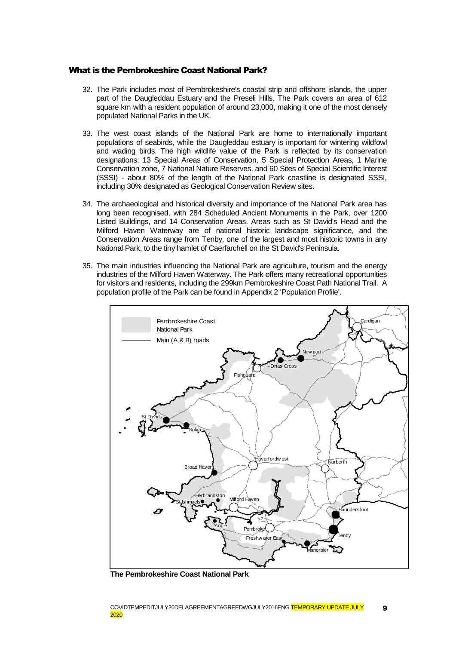#### What is the Pembrokeshire Coast National Park?

- 32. The Park includes most of Pembrokeshire's coastal strip and offshore islands, the upper part of the Daugleddau Estuary and the Preseli Hills. The Park covers an area of 612 square km with a resident population of around 23,000, making it one of the most densely populated National Parks in the UK.
- 33. The west coast islands of the National Park are home to internationally important populations of seabirds, while the Daugleddau estuary is important for wintering wildfowl and wading birds. The high wildlife value of the Park is reflected by its conservation designations: 13 Special Areas of Conservation, 5 Special Protection Areas, 1 Marine Conservation zone, 7 National Nature Reserves, and 60 Sites of Special Scientific Interest (SSSI) - about 80% of the length of the National Park coastline is designated SSSI, including 30% designated as Geological Conservation Review sites.
- 34. The archaeological and historical diversity and importance of the National Park area has long been recognised, with 284 Scheduled Ancient Monuments in the Park, over 1200 Listed Buildings, and 14 Conservation Areas. Areas such as St David's Head and the Milford Haven Waterway are of national historic landscape significance, and the Conservation Areas range from Tenby, one of the largest and most historic towns in any National Park, to the tiny hamlet of Caerfarchell on the St David's Peninsula.
- 35. The main industries influencing the National Park are agriculture, tourism and the energy industries of the Milford Haven Waterway. The Park offers many recreational opportunities for visitors and residents, including the 299km Pembrokeshire Coast Path National Trail. A population profile of the Park can be found in Appendix 2 ['Population Profile'.](#page-27-0)



**The Pembrokeshire Coast National Park**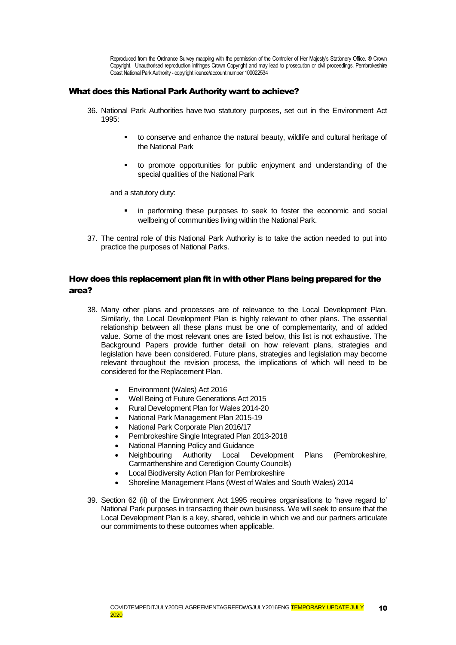Reproduced from the Ordnance Survey mapping with the permission of the Controller of Her Majesty's Stationery Office. ® Crown Copyright. Unauthorised reproduction infringes Crown Copyright and may lead to prosecution or civil proceedings. Pembrokeshire Coast National Park Authority - copyright licence/account number 100022534

#### What does this National Park Authority want to achieve?

- 36. National Park Authorities have two statutory purposes, set out in the Environment Act 1995:
	- to conserve and enhance the natural beauty, wildlife and cultural heritage of the National Park
	- to promote opportunities for public enjoyment and understanding of the special qualities of the National Park

and a statutory duty:

- in performing these purposes to seek to foster the economic and social wellbeing of communities living within the National Park.
- 37. The central role of this National Park Authority is to take the action needed to put into practice the purposes of National Parks.

### How does this replacement plan fit in with other Plans being prepared for the area?

- 38. Many other plans and processes are of relevance to the Local Development Plan. Similarly, the Local Development Plan is highly relevant to other plans. The essential relationship between all these plans must be one of complementarity, and of added value. Some of the most relevant ones are listed below, this list is not exhaustive. The Background Papers provide further detail on how relevant plans, strategies and legislation have been considered. Future plans, strategies and legislation may become relevant throughout the revision process, the implications of which will need to be considered for the Replacement Plan.
	- Environment (Wales) Act 2016
	- Well Being of Future Generations Act 2015
	- Rural Development Plan for Wales 2014-20
	- National Park Management Plan 2015-19
	- National Park Corporate Plan 2016/17
	- Pembrokeshire Single Integrated Plan 2013-2018
	- National Planning Policy and Guidance
	- Neighbouring Authority Local Development Plans (Pembrokeshire, Carmarthenshire and Ceredigion County Councils)
	- Local Biodiversity Action Plan for Pembrokeshire
	- Shoreline Management Plans (West of Wales and South Wales) 2014
- 39. Section 62 (ii) of the Environment Act 1995 requires organisations to 'have regard to' National Park purposes in transacting their own business. We will seek to ensure that the Local Development Plan is a key, shared, vehicle in which we and our partners articulate our commitments to these outcomes when applicable.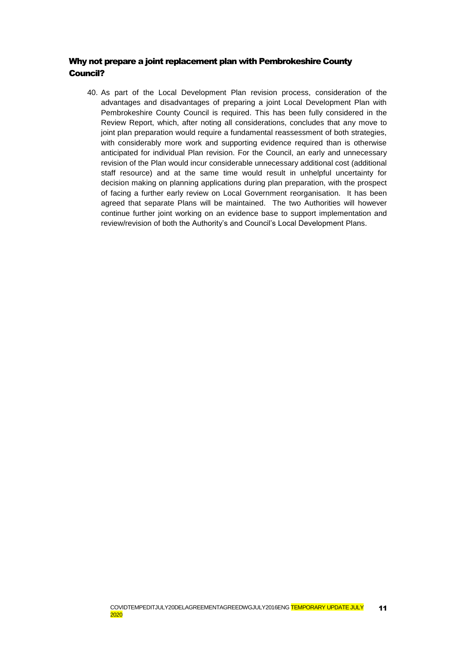# Why not prepare a joint replacement plan with Pembrokeshire County Council?

40. As part of the Local Development Plan revision process, consideration of the advantages and disadvantages of preparing a joint Local Development Plan with Pembrokeshire County Council is required. This has been fully considered in the Review Report, which, after noting all considerations, concludes that any move to joint plan preparation would require a fundamental reassessment of both strategies, with considerably more work and supporting evidence required than is otherwise anticipated for individual Plan revision. For the Council, an early and unnecessary revision of the Plan would incur considerable unnecessary additional cost (additional staff resource) and at the same time would result in unhelpful uncertainty for decision making on planning applications during plan preparation, with the prospect of facing a further early review on Local Government reorganisation. It has been agreed that separate Plans will be maintained. The two Authorities will however continue further joint working on an evidence base to support implementation and review/revision of both the Authority's and Council's Local Development Plans.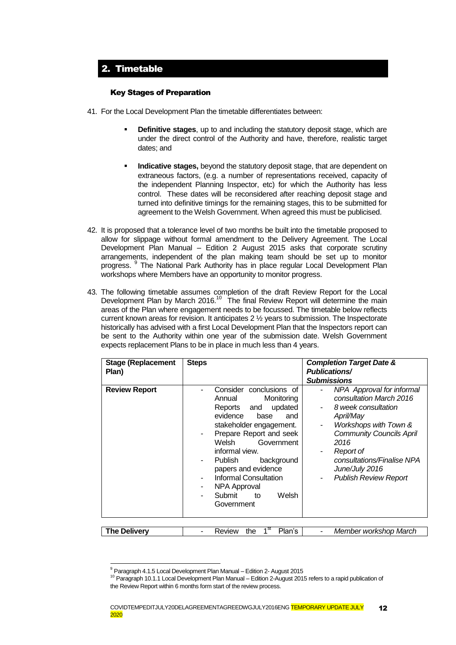# <span id="page-11-0"></span>2. Timetable

#### Key Stages of Preparation

- 41. For the Local Development Plan the timetable differentiates between:
	- **Definitive stages**, up to and including the statutory deposit stage, which are under the direct control of the Authority and have, therefore, realistic target dates; and
	- **Indicative stages,** beyond the statutory deposit stage, that are dependent on extraneous factors, (e.g. a number of representations received, capacity of the independent Planning Inspector, etc) for which the Authority has less control. These dates will be reconsidered after reaching deposit stage and turned into definitive timings for the remaining stages, this to be submitted for agreement to the Welsh Government. When agreed this must be publicised.
- 42. It is proposed that a tolerance level of two months be built into the timetable proposed to allow for slippage without formal amendment to the Delivery Agreement. The Local Development Plan Manual – Edition 2 August 2015 asks that corporate scrutiny arrangements, independent of the plan making team should be set up to monitor progress. <sup>9</sup> The National Park Authority has in place regular Local Development Plan workshops where Members have an opportunity to monitor progress.
- 43. The following timetable assumes completion of the draft Review Report for the Local Development Plan by March 2016.<sup>10</sup> The final Review Report will determine the main areas of the Plan where engagement needs to be focussed. The timetable below reflects current known areas for revision. It anticipates 2 ½ years to submission. The Inspectorate historically has advised with a first Local Development Plan that the Inspectors report can be sent to the Authority within one year of the submission date. Welsh Government expects replacement Plans to be in place in much less than 4 years.

| <b>Stage (Replacement</b> | <b>Steps</b>                                                                                                                                                                                                                                                                                                             | <b>Completion Target Date &amp;</b>                                                                                                                                                                                                                                 |
|---------------------------|--------------------------------------------------------------------------------------------------------------------------------------------------------------------------------------------------------------------------------------------------------------------------------------------------------------------------|---------------------------------------------------------------------------------------------------------------------------------------------------------------------------------------------------------------------------------------------------------------------|
| Plan)                     |                                                                                                                                                                                                                                                                                                                          | <b>Publications/</b>                                                                                                                                                                                                                                                |
|                           |                                                                                                                                                                                                                                                                                                                          | <b>Submissions</b>                                                                                                                                                                                                                                                  |
| <b>Review Report</b>      | Consider conclusions of<br>Monitoring<br>Annual<br>updated<br>Reports<br>and<br>evidence<br>base<br>and<br>stakeholder engagement.<br>Prepare Report and seek<br>Welsh<br>Government<br>informal view.<br>Publish<br>background<br>papers and evidence<br>Informal Consultation<br>NPA Approval<br>Submit<br>Welsh<br>to | NPA Approval for informal<br>consultation March 2016<br>8 week consultation<br>April/May<br>Workshops with Town &<br>-<br><b>Community Councils April</b><br>2016<br>Report of<br>consultations/Finalise NPA<br>June/July 2016<br><b>Publish Review Report</b><br>- |
|                           | Government                                                                                                                                                                                                                                                                                                               |                                                                                                                                                                                                                                                                     |
| <b>The Delivery</b>       | 1 <sup>st</sup><br>Plan's<br>the<br><b>Review</b>                                                                                                                                                                                                                                                                        | Member workshop March                                                                                                                                                                                                                                               |

<sup>1</sup>  $9$  Paragraph 4.1.5 Local Development Plan Manual – Edition 2- August 2015

<sup>&</sup>lt;sup>10</sup> Paragraph 10.1.1 Local Development Plan Manual – Edition 2-August 2015 refers to a rapid publication of the Review Report within 6 months form start of the review process.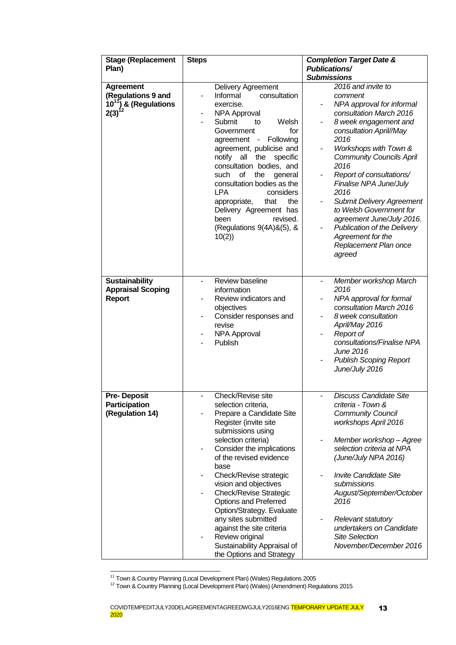| <b>Stage (Replacement</b><br>Plan)                                                         | <b>Steps</b>                                                                                                                                                                                                                                                                                                                                                                                                                                                                          | <b>Completion Target Date &amp;</b><br><b>Publications/</b><br><b>Submissions</b>                                                                                                                                                                                                                                                                                                                                                                                      |
|--------------------------------------------------------------------------------------------|---------------------------------------------------------------------------------------------------------------------------------------------------------------------------------------------------------------------------------------------------------------------------------------------------------------------------------------------------------------------------------------------------------------------------------------------------------------------------------------|------------------------------------------------------------------------------------------------------------------------------------------------------------------------------------------------------------------------------------------------------------------------------------------------------------------------------------------------------------------------------------------------------------------------------------------------------------------------|
| <b>Agreement</b><br>(Regulations 9 and<br>$10^{11}$ ) & (Regulations<br>2(3) <sup>12</sup> | Delivery Agreement<br>Informal<br>consultation<br>exercise.<br><b>NPA Approval</b><br>Submit<br>Welsh<br>to<br>for<br>Government<br>Following<br>agreement -<br>agreement, publicise and<br>notify all<br>the specific<br>consultation bodies, and<br>such<br>οf<br>the<br>general<br>consultation bodies as the<br><b>LPA</b><br>considers<br>appropriate,<br>that<br>the<br>Delivery Agreement has<br>been<br>revised.<br>(Regulations 9(4A)&(5), &<br>10(2)                        | 2016 and invite to<br>comment<br>NPA approval for informal<br>consultation March 2016<br>8 week engagement and<br>consultation April//May<br>2016<br>Workshops with Town &<br><b>Community Councils April</b><br>2016<br>Report of consultations/<br>Finalise NPA June/July<br>2016<br><b>Submit Delivery Agreement</b><br>to Welsh Government for<br>agreement June/July 2016.<br>Publication of the Delivery<br>Agreement for the<br>Replacement Plan once<br>agreed |
| <b>Sustainability</b><br><b>Appraisal Scoping</b><br><b>Report</b>                         | Review baseline<br>$\overline{\phantom{0}}$<br>information<br>Review indicators and<br>objectives<br>Consider responses and<br>-<br>revise<br><b>NPA Approval</b><br>Publish                                                                                                                                                                                                                                                                                                          | Member workshop March<br>$\frac{1}{2}$<br>2016<br>NPA approval for formal<br>consultation March 2016<br>8 week consultation<br>April/May 2016<br>Report of<br>consultations/Finalise NPA<br>June 2016<br><b>Publish Scoping Report</b><br>June/July 2016                                                                                                                                                                                                               |
| <b>Pre-Deposit</b><br>Participation<br>(Regulation 14)                                     | Check/Revise site<br>selection criteria,<br>Prepare a Candidate Site<br>Register (invite site<br>submissions using<br>selection criteria)<br>Consider the implications<br>of the revised evidence<br>base<br>Check/Revise strategic<br>vision and objectives<br><b>Check/Revise Strategic</b><br>Options and Preferred<br>Option/Strategy. Evaluate<br>any sites submitted<br>against the site criteria<br>Review original<br>Sustainability Appraisal of<br>the Options and Strategy | <b>Discuss Candidate Site</b><br>criteria - Town &<br><b>Community Council</b><br>workshops April 2016<br>Member workshop - Agree<br>-<br>selection criteria at NPA<br>(June/July NPA 2016)<br><b>Invite Candidate Site</b><br>submissions<br>August/September/October<br>2016<br><b>Relevant statutory</b><br>-<br>undertakers on Candidate<br><b>Site Selection</b><br>November/December 2016                                                                        |

<sup>1</sup> <sup>11</sup> Town & Country Planning (Local Development Plan) (Wales) Regulations 2005

<sup>&</sup>lt;sup>12</sup> Town & Country Planning (Local Development Plan) (Wales) (Amendment) Regulations 2015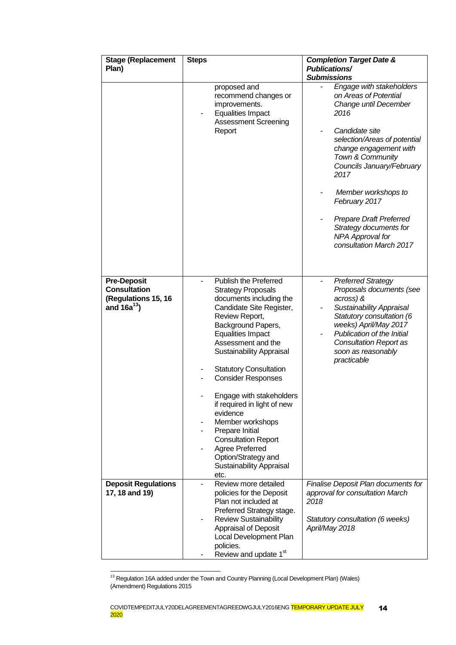| <b>Stage (Replacement</b><br>Plan)                                                   | <b>Steps</b>                                                                                                                                                                                                                                                                                                                                                                                                                                                                                                                          | <b>Completion Target Date &amp;</b><br><b>Publications/</b><br><b>Submissions</b>                                                                                                                                                                               |
|--------------------------------------------------------------------------------------|---------------------------------------------------------------------------------------------------------------------------------------------------------------------------------------------------------------------------------------------------------------------------------------------------------------------------------------------------------------------------------------------------------------------------------------------------------------------------------------------------------------------------------------|-----------------------------------------------------------------------------------------------------------------------------------------------------------------------------------------------------------------------------------------------------------------|
|                                                                                      | proposed and<br>recommend changes or<br>improvements.<br><b>Equalities Impact</b><br><b>Assessment Screening</b>                                                                                                                                                                                                                                                                                                                                                                                                                      | Engage with stakeholders<br>on Areas of Potential<br>Change until December<br>2016                                                                                                                                                                              |
|                                                                                      | Report                                                                                                                                                                                                                                                                                                                                                                                                                                                                                                                                | Candidate site<br>selection/Areas of potential<br>change engagement with<br>Town & Community<br>Councils January/February<br>2017                                                                                                                               |
|                                                                                      |                                                                                                                                                                                                                                                                                                                                                                                                                                                                                                                                       | Member workshops to<br>February 2017                                                                                                                                                                                                                            |
|                                                                                      |                                                                                                                                                                                                                                                                                                                                                                                                                                                                                                                                       | <b>Prepare Draft Preferred</b><br>Strategy documents for<br>NPA Approval for<br>consultation March 2017                                                                                                                                                         |
| <b>Pre-Deposit</b><br><b>Consultation</b><br>(Regulations 15, 16<br>and $16a^{13}$ ) | Publish the Preferred<br><b>Strategy Proposals</b><br>documents including the<br>Candidate Site Register,<br>Review Report,<br>Background Papers,<br><b>Equalities Impact</b><br>Assessment and the<br><b>Sustainability Appraisal</b><br><b>Statutory Consultation</b><br><b>Consider Responses</b><br>Engage with stakeholders<br>if required in light of new<br>evidence<br>Member workshops<br>Prepare Initial<br><b>Consultation Report</b><br>Agree Preferred<br>Option/Strategy and<br><b>Sustainability Appraisal</b><br>etc. | <b>Preferred Strategy</b><br>Proposals documents (see<br>across) &<br><b>Sustainability Appraisal</b><br>Statutory consultation (6<br>weeks) April/May 2017<br>Publication of the Initial<br><b>Consultation Report as</b><br>soon as reasonably<br>practicable |
| <b>Deposit Regulations</b><br>17, 18 and 19)                                         | Review more detailed<br>policies for the Deposit<br>Plan not included at<br>Preferred Strategy stage.<br><b>Review Sustainability</b><br>Appraisal of Deposit<br>Local Development Plan<br>policies.<br>Review and update 1st                                                                                                                                                                                                                                                                                                         | Finalise Deposit Plan documents for<br>approval for consultation March<br>2018<br>Statutory consultation (6 weeks)<br>April/May 2018                                                                                                                            |

 $13$  Regulation 16A added under the Town and Country Planning (Local Development Plan) (Wales) (Amendment) Regulations 2015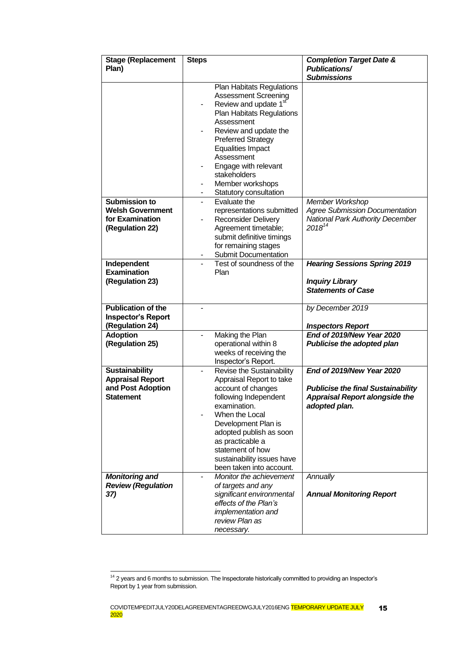| <b>Stage (Replacement</b> | <b>Steps</b>             |                                                     | <b>Completion Target Date &amp;</b>        |
|---------------------------|--------------------------|-----------------------------------------------------|--------------------------------------------|
| Plan)                     |                          |                                                     | <b>Publications/</b><br><b>Submissions</b> |
|                           |                          | <b>Plan Habitats Regulations</b>                    |                                            |
|                           |                          | <b>Assessment Screening</b>                         |                                            |
|                           |                          | Review and update 1 <sup>st</sup>                   |                                            |
|                           |                          | <b>Plan Habitats Regulations</b>                    |                                            |
|                           |                          | Assessment                                          |                                            |
|                           |                          | Review and update the                               |                                            |
|                           |                          | <b>Preferred Strategy</b>                           |                                            |
|                           |                          | <b>Equalities Impact</b>                            |                                            |
|                           |                          | Assessment                                          |                                            |
|                           |                          | Engage with relevant                                |                                            |
|                           |                          | stakeholders                                        |                                            |
|                           | -                        | Member workshops                                    |                                            |
|                           | ۰.                       | Statutory consultation                              |                                            |
| <b>Submission to</b>      | $\overline{\phantom{0}}$ | Evaluate the                                        | Member Workshop                            |
| <b>Welsh Government</b>   |                          | representations submitted                           | <b>Agree Submission Documentation</b>      |
| for Examination           |                          | <b>Reconsider Delivery</b>                          | <b>National Park Authority December</b>    |
| (Regulation 22)           |                          | Agreement timetable;                                | $2018^{14}$                                |
|                           |                          | submit definitive timings                           |                                            |
|                           |                          | for remaining stages<br><b>Submit Documentation</b> |                                            |
| Independent               |                          | Test of soundness of the                            | <b>Hearing Sessions Spring 2019</b>        |
| <b>Examination</b>        |                          | Plan                                                |                                            |
| (Regulation 23)           |                          |                                                     | <b>Inquiry Library</b>                     |
|                           |                          |                                                     | <b>Statements of Case</b>                  |
|                           |                          |                                                     |                                            |
| <b>Publication of the</b> |                          |                                                     | by December 2019                           |
| <b>Inspector's Report</b> |                          |                                                     |                                            |
| (Regulation 24)           |                          |                                                     | <b>Inspectors Report</b>                   |
| <b>Adoption</b>           |                          | Making the Plan                                     | End of 2019/New Year 2020                  |
| (Regulation 25)           |                          | operational within 8<br>weeks of receiving the      | Publicise the adopted plan                 |
|                           |                          | Inspector's Report.                                 |                                            |
| <b>Sustainability</b>     | -                        | Revise the Sustainability                           | End of 2019/New Year 2020                  |
| <b>Appraisal Report</b>   |                          | Appraisal Report to take                            |                                            |
| and Post Adoption         |                          | account of changes                                  | <b>Publicise the final Sustainability</b>  |
| <b>Statement</b>          |                          | following Independent                               | <b>Appraisal Report alongside the</b>      |
|                           |                          | examination.                                        | adopted plan.                              |
|                           |                          | When the Local                                      |                                            |
|                           |                          | Development Plan is                                 |                                            |
|                           |                          | adopted publish as soon                             |                                            |
|                           |                          | as practicable a                                    |                                            |
|                           |                          | statement of how                                    |                                            |
|                           |                          | sustainability issues have                          |                                            |
|                           |                          | been taken into account.                            |                                            |
| <b>Monitoring and</b>     |                          | Monitor the achievement                             | Annually                                   |
| <b>Review (Regulation</b> |                          | of targets and any                                  |                                            |
| 37)                       |                          | significant environmental                           | <b>Annual Monitoring Report</b>            |
|                           |                          | effects of the Plan's                               |                                            |
|                           |                          | implementation and<br>review Plan as                |                                            |
|                           |                          | necessary.                                          |                                            |
|                           |                          |                                                     |                                            |

 $14$  2 years and 6 months to submission. The Inspectorate historically committed to providing an Inspector's Report by 1 year from submission.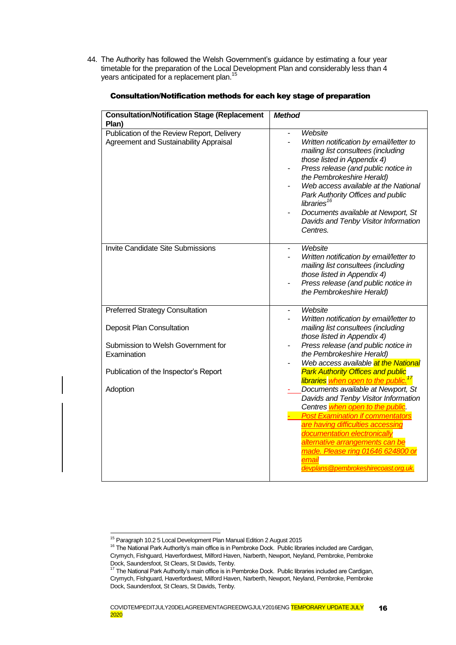44. The Authority has followed the Welsh Government's guidance by estimating a four year timetable for the preparation of the Local Development Plan and considerably less than 4 years anticipated for a replacement plan.<sup>15</sup>

| <b>Consultation/Notification Stage (Replacement</b><br>Plan)                          | <b>Method</b>                                                                                                                                                                                                                                                                                                                                                                                              |
|---------------------------------------------------------------------------------------|------------------------------------------------------------------------------------------------------------------------------------------------------------------------------------------------------------------------------------------------------------------------------------------------------------------------------------------------------------------------------------------------------------|
| Publication of the Review Report, Delivery<br>Agreement and Sustainability Appraisal  | Website<br>Written notification by email/letter to<br>mailing list consultees (including<br>those listed in Appendix 4)<br>Press release (and public notice in<br>the Pembrokeshire Herald)<br>Web access available at the National<br>Park Authority Offices and public<br>libraries <sup>16</sup><br>Documents available at Newport, St<br>Davids and Tenby Visitor Information<br>Centres.              |
| Invite Candidate Site Submissions                                                     | Website<br>Written notification by email/letter to<br>mailing list consultees (including<br>those listed in Appendix 4)<br>Press release (and public notice in<br>the Pembrokeshire Herald)                                                                                                                                                                                                                |
| <b>Preferred Strategy Consultation</b>                                                | Website<br>$\overline{a}$                                                                                                                                                                                                                                                                                                                                                                                  |
| <b>Deposit Plan Consultation</b><br>Submission to Welsh Government for<br>Examination | Written notification by email/letter to<br>mailing list consultees (including<br>those listed in Appendix 4)<br>Press release (and public notice in<br>-<br>the Pembrokeshire Herald)                                                                                                                                                                                                                      |
| Publication of the Inspector's Report                                                 | Web access available at the National<br><b>Park Authority Offices and public</b>                                                                                                                                                                                                                                                                                                                           |
| Adoption                                                                              | libraries when open to the public. <sup>17</sup><br>Documents available at Newport, St<br>Davids and Tenby Visitor Information<br>Centres when open to the public.<br><b>Post Examination if commentators</b><br>are having difficulties accessing<br>documentation electronically<br>alternative arrangements can be<br>made. Please ring 01646 624800 or<br>email<br>devplans@pembrokeshirecoast.org.uk. |

#### Consultation/Notification methods for each key stage of preparation

<sup>&</sup>lt;sup>15</sup> Paragraph 10.2 5 Local Development Plan Manual Edition 2 August 2015

<sup>&</sup>lt;sup>16</sup> The National Park Authority's main office is in Pembroke Dock. Public libraries included are Cardigan, Crymych, Fishguard, Haverfordwest, Milford Haven, Narberth, Newport, Neyland, Pembroke, Pembroke Dock, Saundersfoot, St Clears, St Davids, Tenby.

<sup>&</sup>lt;sup>17</sup> The National Park Authority's main office is in Pembroke Dock. Public libraries included are Cardigan, Crymych, Fishguard, Haverfordwest, Milford Haven, Narberth, Newport, Neyland, Pembroke, Pembroke Dock, Saundersfoot, St Clears, St Davids, Tenby.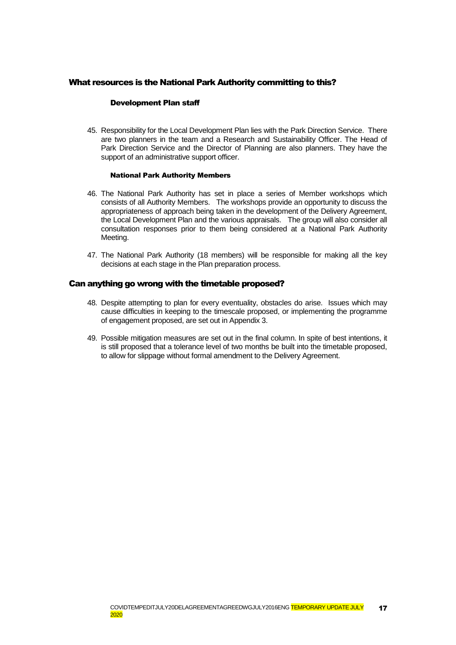#### What resources is the National Park Authority committing to this?

#### Development Plan staff

45. Responsibility for the Local Development Plan lies with the Park Direction Service. There are two planners in the team and a Research and Sustainability Officer. The Head of Park Direction Service and the Director of Planning are also planners. They have the support of an administrative support officer.

#### National Park Authority Members

- 46. The National Park Authority has set in place a series of Member workshops which consists of all Authority Members. The workshops provide an opportunity to discuss the appropriateness of approach being taken in the development of the Delivery Agreement, the Local Development Plan and the various appraisals. The group will also consider all consultation responses prior to them being considered at a National Park Authority Meeting.
- 47. The National Park Authority (18 members) will be responsible for making all the key decisions at each stage in the Plan preparation process.

#### Can anything go wrong with the timetable proposed?

- 48. Despite attempting to plan for every eventuality, obstacles do arise. Issues which may cause difficulties in keeping to the timescale proposed, or implementing the programme of engagement proposed, are set out in Appendix 3.
- 49. Possible mitigation measures are set out in the final column. In spite of best intentions, it is still proposed that a tolerance level of two months be built into the timetable proposed, to allow for slippage without formal amendment to the Delivery Agreement.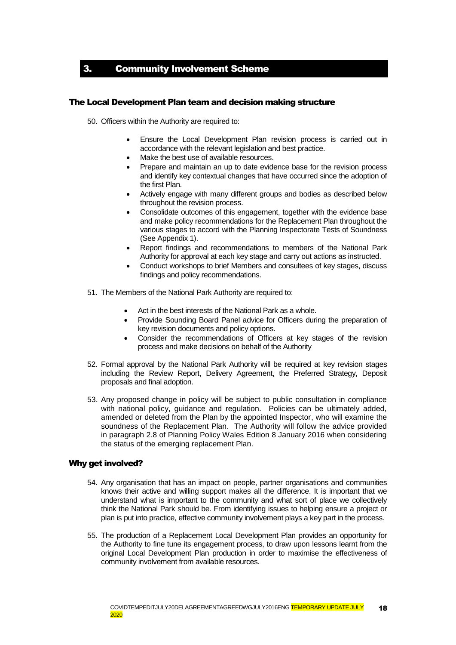3. Community Involvement Scheme

#### The Local Development Plan team and decision making structure

50. Officers within the Authority are required to:

- Ensure the Local Development Plan revision process is carried out in accordance with the relevant legislation and best practice.
- Make the best use of available resources.
- Prepare and maintain an up to date evidence base for the revision process and identify key contextual changes that have occurred since the adoption of the first Plan.
- Actively engage with many different groups and bodies as described below throughout the revision process.
- Consolidate outcomes of this engagement, together with the evidence base and make policy recommendations for the Replacement Plan throughout the various stages to accord with the Planning Inspectorate Tests of Soundness (See Appendix 1).
- Report findings and recommendations to members of the National Park Authority for approval at each key stage and carry out actions as instructed.
- Conduct workshops to brief Members and consultees of key stages, discuss findings and policy recommendations.
- 51. The Members of the National Park Authority are required to:
	- Act in the best interests of the National Park as a whole.
	- Provide Sounding Board Panel advice for Officers during the preparation of key revision documents and policy options.
	- Consider the recommendations of Officers at key stages of the revision process and make decisions on behalf of the Authority
- 52. Formal approval by the National Park Authority will be required at key revision stages including the Review Report, Delivery Agreement, the Preferred Strategy, Deposit proposals and final adoption.
- 53. Any proposed change in policy will be subject to public consultation in compliance with national policy, guidance and regulation. Policies can be ultimately added, amended or deleted from the Plan by the appointed Inspector, who will examine the soundness of the Replacement Plan. The Authority will follow the advice provided in paragraph 2.8 of Planning Policy Wales Edition 8 January 2016 when considering the status of the emerging replacement Plan.

#### Why get involved?

- 54. Any organisation that has an impact on people, partner organisations and communities knows their active and willing support makes all the difference. It is important that we understand what is important to the community and what sort of place we collectively think the National Park should be. From identifying issues to helping ensure a project or plan is put into practice, effective community involvement plays a key part in the process.
- 55. The production of a Replacement Local Development Plan provides an opportunity for the Authority to fine tune its engagement process, to draw upon lessons learnt from the original Local Development Plan production in order to maximise the effectiveness of community involvement from available resources.

<span id="page-17-0"></span>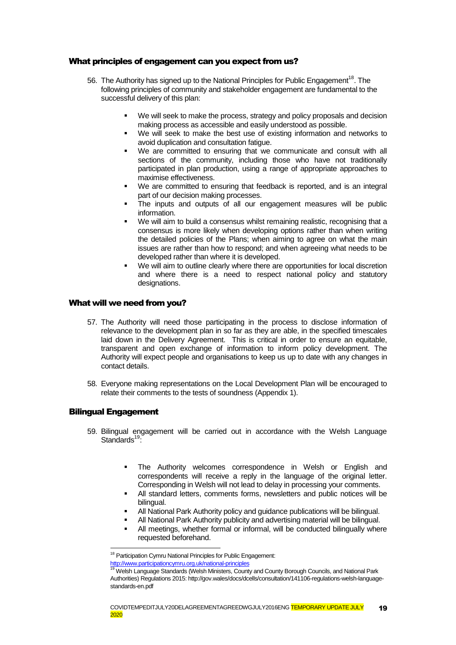#### What principles of engagement can you expect from us?

- 56. The Authority has signed up to the National Principles for Public Engagement<sup>18</sup>. The following principles of community and stakeholder engagement are fundamental to the successful delivery of this plan:
	- We will seek to make the process, strategy and policy proposals and decision making process as accessible and easily understood as possible.
	- We will seek to make the best use of existing information and networks to avoid duplication and consultation fatigue.
	- We are committed to ensuring that we communicate and consult with all sections of the community, including those who have not traditionally participated in plan production, using a range of appropriate approaches to maximise effectiveness.
	- We are committed to ensuring that feedback is reported, and is an integral part of our decision making processes.
	- The inputs and outputs of all our engagement measures will be public information.
	- We will aim to build a consensus whilst remaining realistic, recognising that a consensus is more likely when developing options rather than when writing the detailed policies of the Plans; when aiming to agree on what the main issues are rather than how to respond; and when agreeing what needs to be developed rather than where it is developed.
	- We will aim to outline clearly where there are opportunities for local discretion and where there is a need to respect national policy and statutory designations.

#### What will we need from you?

- 57. The Authority will need those participating in the process to disclose information of relevance to the development plan in so far as they are able, in the specified timescales laid down in the Delivery Agreement. This is critical in order to ensure an equitable, transparent and open exchange of information to inform policy development. The Authority will expect people and organisations to keep us up to date with any changes in contact details.
- 58. Everyone making representations on the Local Development Plan will be encouraged to relate their comments to the tests of soundness (Appendix 1).

#### Bilingual Engagement

-

- 59. Bilingual engagement will be carried out in accordance with the Welsh Language Standards<sup>19.</sup>
	- The Authority welcomes correspondence in Welsh or English and correspondents will receive a reply in the language of the original letter. Corresponding in Welsh will not lead to delay in processing your comments.
	- All standard letters, comments forms, newsletters and public notices will be bilingual.
	- All National Park Authority policy and guidance publications will be bilingual.
	- All National Park Authority publicity and advertising material will be bilingual.
	- All meetings, whether formal or informal, will be conducted bilingually where requested beforehand.

<sup>&</sup>lt;sup>18</sup> Participation Cymru National Principles for Public Engagement:

<http://www.participationcymru.org.uk/national-principles>

<sup>&</sup>lt;sup>19</sup> Welsh Language Standards (Welsh Ministers, County and County Borough Councils, and National Park Authorities) Regulations 2015: http://gov.wales/docs/dcells/consultation/141106-regulations-welsh-languagestandards-en.pdf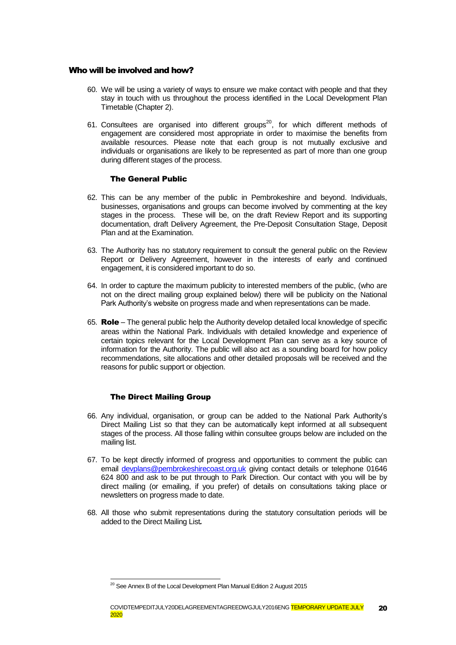#### Who will be involved and how?

- 60. We will be using a variety of ways to ensure we make contact with people and that they stay in touch with us throughout the process identified in the Local Development Plan Timetable (Chapter 2).
- 61. Consultees are organised into different groups<sup>20</sup>, for which different methods of engagement are considered most appropriate in order to maximise the benefits from available resources. Please note that each group is not mutually exclusive and individuals or organisations are likely to be represented as part of more than one group during different stages of the process.

#### The General Public

- 62. This can be any member of the public in Pembrokeshire and beyond. Individuals, businesses, organisations and groups can become involved by commenting at the key stages in the process. These will be, on the draft Review Report and its supporting documentation, draft Delivery Agreement, the Pre-Deposit Consultation Stage, Deposit Plan and at the Examination.
- 63. The Authority has no statutory requirement to consult the general public on the Review Report or Delivery Agreement, however in the interests of early and continued engagement, it is considered important to do so.
- 64. In order to capture the maximum publicity to interested members of the public, (who are not on the direct mailing group explained below) there will be publicity on the National Park Authority's website on progress made and when representations can be made.
- 65. Role The general public help the Authority develop detailed local knowledge of specific areas within the National Park. Individuals with detailed knowledge and experience of certain topics relevant for the Local Development Plan can serve as a key source of information for the Authority. The public will also act as a sounding board for how policy recommendations, site allocations and other detailed proposals will be received and the reasons for public support or objection.

#### The Direct Mailing Group

-

- 66. Any individual, organisation, or group can be added to the National Park Authority's Direct Mailing List so that they can be automatically kept informed at all subsequent stages of the process. All those falling within consultee groups below are included on the mailing list.
- 67. To be kept directly informed of progress and opportunities to comment the public can email [devplans@pembrokeshirecoast.org.uk](mailto:devplans@pembrokeshirecoast.org.uk) giving contact details or telephone 01646 624 800 and ask to be put through to Park Direction. Our contact with you will be by direct mailing (or emailing, if you prefer) of details on consultations taking place or newsletters on progress made to date.
- 68. All those who submit representations during the statutory consultation periods will be added to the Direct Mailing List*.*

<sup>&</sup>lt;sup>20</sup> See Annex B of the Local Development Plan Manual Edition 2 August 2015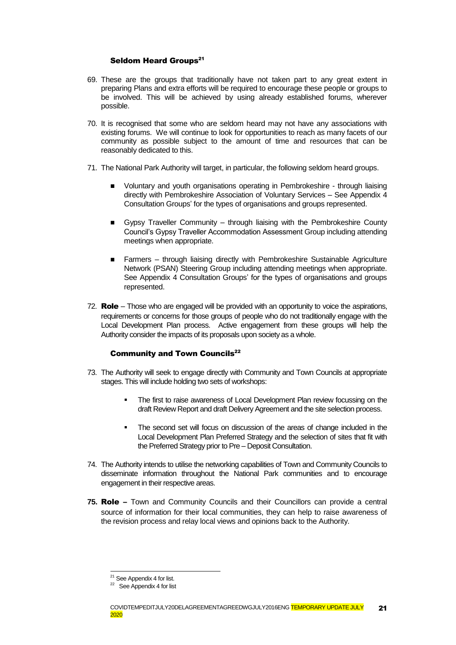#### Seldom Heard Groups<sup>21</sup>

- 69. These are the groups that traditionally have not taken part to any great extent in preparing Plans and extra efforts will be required to encourage these people or groups to be involved. This will be achieved by using already established forums, wherever possible.
- 70. It is recognised that some who are seldom heard may not have any associations with existing forums. We will continue to look for opportunities to reach as many facets of our community as possible subject to the amount of time and resources that can be reasonably dedicated to this.
- 71. The National Park Authority will target, in particular, the following seldom heard groups.
	- **DED** Voluntary and youth organisations operating in Pembrokeshire through liaising directly with Pembrokeshire Association of Voluntary Services – See [Appendix](#page-32-0) 4 [Consultation Groups'](#page-32-0) for the types of organisations and groups represented.
	- Gypsy Traveller Community through liaising with the Pembrokeshire County Council's Gypsy Traveller Accommodation Assessment Group including attending meetings when appropriate.
	- Farmers through liaising directly with Pembrokeshire Sustainable Agriculture Network (PSAN) Steering Group including attending meetings when appropriate. See Appendix [4 Consultation Groups'](#page-32-0) for the types of organisations and groups represented.
- 72. Role Those who are engaged will be provided with an opportunity to voice the aspirations, requirements or concerns for those groups of people who do not traditionally engage with the Local Development Plan process. Active engagement from these groups will help the Authority consider the impacts of its proposals upon society as a whole.

#### **Community and Town Councils**<sup>22</sup>

- 73. The Authority will seek to engage directly with Community and Town Councils at appropriate stages. This will include holding two sets of workshops:
	- The first to raise awareness of Local Development Plan review focussing on the draft Review Report and draft Delivery Agreement and the site selection process.
	- The second set will focus on discussion of the areas of change included in the Local Development Plan Preferred Strategy and the selection of sites that fit with the Preferred Strategy prior to Pre – Deposit Consultation.
- 74. The Authority intends to utilise the networking capabilities of Town and Community Councils to disseminate information throughout the National Park communities and to encourage engagement in their respective areas.
- **75.** Role Town and Community Councils and their Councillors can provide a central source of information for their local communities, they can help to raise awareness of the revision process and relay local views and opinions back to the Authority.

 $21$  See Appendix 4 for list.

<sup>&</sup>lt;sup>22</sup> See Appendix 4 for list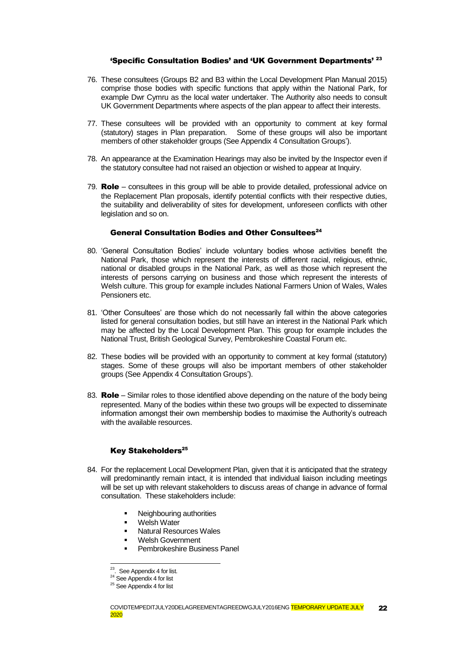#### 'Specific Consultation Bodies' and 'UK Government Departments' <sup>23</sup>

- 76. These consultees (Groups B2 and B3 within the Local Development Plan Manual 2015) comprise those bodies with specific functions that apply within the National Park, for example Dwr Cymru as the local water undertaker. The Authority also needs to consult UK Government Departments where aspects of the plan appear to affect their interests.
- 77. These consultees will be provided with an opportunity to comment at key formal (statutory) stages in Plan preparation. Some of these groups will also be important members of other stakeholder groups (See Appendix [4 Consultation Groups'](#page-32-0)).
- 78. An appearance at the Examination Hearings may also be invited by the Inspector even if the statutory consultee had not raised an objection or wished to appear at Inquiry.
- 79. **Role** consultees in this group will be able to provide detailed, professional advice on the Replacement Plan proposals, identify potential conflicts with their respective duties, the suitability and deliverability of sites for development, unforeseen conflicts with other legislation and so on.

### General Consultation Bodies and Other Consultees<sup>24</sup>

- 80. 'General Consultation Bodies' include voluntary bodies whose activities benefit the National Park, those which represent the interests of different racial, religious, ethnic, national or disabled groups in the National Park, as well as those which represent the interests of persons carrying on business and those which represent the interests of Welsh culture. This group for example includes National Farmers Union of Wales, Wales Pensioners etc.
- 81. 'Other Consultees' are those which do not necessarily fall within the above categories listed for general consultation bodies, but still have an interest in the National Park which may be affected by the Local Development Plan. This group for example includes the National Trust, British Geological Survey, Pembrokeshire Coastal Forum etc.
- 82. These bodies will be provided with an opportunity to comment at key formal (statutory) stages. Some of these groups will also be important members of other stakeholder groups (See Appendix [4 Consultation Groups'\)](#page-32-0).
- 83. **Role** Similar roles to those identified above depending on the nature of the body being represented. Many of the bodies within these two groups will be expected to disseminate information amongst their own membership bodies to maximise the Authority's outreach with the available resources.

#### Key Stakeholders 25

- 84. For the replacement Local Development Plan, given that it is anticipated that the strategy will predominantly remain intact, it is intended that individual liaison including meetings will be set up with relevant stakeholders to discuss areas of change in advance of formal consultation. These stakeholders include:
	- Neighbouring authorities
	- **Welsh Water**
	- Natural Resources Wales
	- Welsh Government
	- Pembrokeshire Business Panel

<sup>&</sup>lt;sup>23</sup>. See Appendix 4 for list.

<sup>&</sup>lt;sup>24</sup> See Appendix 4 for list

<sup>&</sup>lt;sup>25</sup> See Appendix 4 for list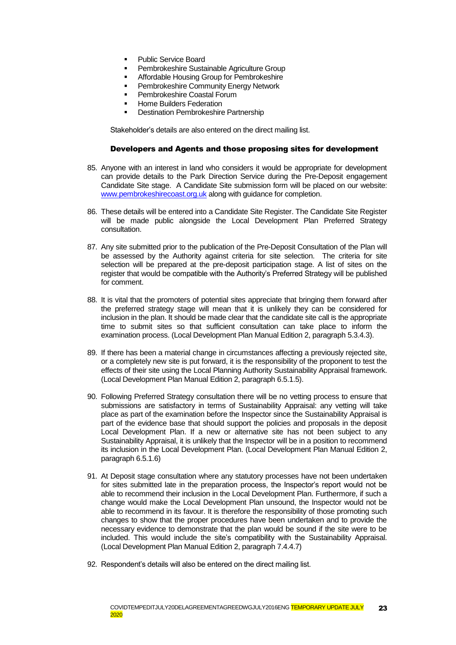- **Public Service Board**
- Pembrokeshire Sustainable Agriculture Group
- **Affordable Housing Group for Pembrokeshire**
- **Pembrokeshire Community Energy Network**
- Pembrokeshire Coastal Forum
- Home Builders Federation
- Destination Pembrokeshire Partnership

Stakeholder's details are also entered on the direct mailing list.

#### Developers and Agents and those proposing sites for development

- 85. Anyone with an interest in land who considers it would be appropriate for development can provide details to the Park Direction Service during the Pre-Deposit engagement Candidate Site stage. A Candidate Site submission form will be placed on our website: [www.pembrokeshirecoast.org.uk](http://www.pembrokeshirecoast.org.uk/) along with guidance for completion.
- 86. These details will be entered into a Candidate Site Register. The Candidate Site Register will be made public alongside the Local Development Plan Preferred Strategy consultation.
- 87. Any site submitted prior to the publication of the Pre-Deposit Consultation of the Plan will be assessed by the Authority against criteria for site selection. The criteria for site selection will be prepared at the pre-deposit participation stage. A list of sites on the register that would be compatible with the Authority's Preferred Strategy will be published for comment.
- 88. It is vital that the promoters of potential sites appreciate that bringing them forward after the preferred strategy stage will mean that it is unlikely they can be considered for inclusion in the plan. It should be made clear that the candidate site call is the appropriate time to submit sites so that sufficient consultation can take place to inform the examination process. (Local Development Plan Manual Edition 2, paragraph 5.3.4.3).
- 89. If there has been a material change in circumstances affecting a previously rejected site, or a completely new site is put forward, it is the responsibility of the proponent to test the effects of their site using the Local Planning Authority Sustainability Appraisal framework. (Local Development Plan Manual Edition 2, paragraph 6.5.1.5).
- 90. Following Preferred Strategy consultation there will be no vetting process to ensure that submissions are satisfactory in terms of Sustainability Appraisal: any vetting will take place as part of the examination before the Inspector since the Sustainability Appraisal is part of the evidence base that should support the policies and proposals in the deposit Local Development Plan. If a new or alternative site has not been subject to any Sustainability Appraisal, it is unlikely that the Inspector will be in a position to recommend its inclusion in the Local Development Plan. (Local Development Plan Manual Edition 2, paragraph 6.5.1.6)
- 91. At Deposit stage consultation where any statutory processes have not been undertaken for sites submitted late in the preparation process, the Inspector's report would not be able to recommend their inclusion in the Local Development Plan. Furthermore, if such a change would make the Local Development Plan unsound, the Inspector would not be able to recommend in its favour. It is therefore the responsibility of those promoting such changes to show that the proper procedures have been undertaken and to provide the necessary evidence to demonstrate that the plan would be sound if the site were to be included. This would include the site's compatibility with the Sustainability Appraisal. (Local Development Plan Manual Edition 2, paragraph 7.4.4.7)
- 92. Respondent's details will also be entered on the direct mailing list.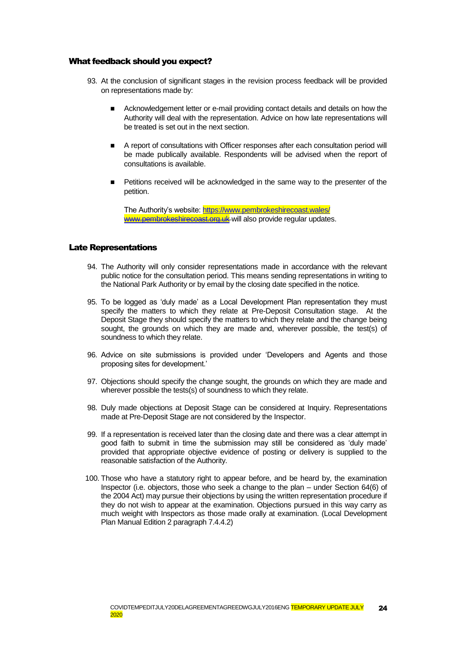#### What feedback should you expect?

- 93. At the conclusion of significant stages in the revision process feedback will be provided on representations made by:
	- Acknowledgement letter or e-mail providing contact details and details on how the Authority will deal with the representation. Advice on how late representations will be treated is set out in the next section.
	- A report of consultations with Officer responses after each consultation period will be made publically available. Respondents will be advised when the report of consultations is available.
	- Petitions received will be acknowledged in the same way to the presenter of the petition.

The Authority's website[: https://www.pembrokeshirecoast.wales/](https://www.pembrokeshirecoast.wales/) [www.pembrokeshirecoast.org.uk](http://www.pembrokeshirecoast.org.uk/) will also provide regular updates.

#### Late Representations

- 94. The Authority will only consider representations made in accordance with the relevant public notice for the consultation period. This means sending representations in writing to the National Park Authority or by email by the closing date specified in the notice.
- 95. To be logged as 'duly made' as a Local Development Plan representation they must specify the matters to which they relate at Pre-Deposit Consultation stage. At the Deposit Stage they should specify the matters to which they relate and the change being sought, the grounds on which they are made and, wherever possible, the test(s) of soundness to which they relate.
- 96. Advice on site submissions is provided under 'Developers and Agents and those proposing sites for development.'
- 97. Objections should specify the change sought, the grounds on which they are made and wherever possible the tests(s) of soundness to which they relate.
- 98. Duly made objections at Deposit Stage can be considered at Inquiry. Representations made at Pre-Deposit Stage are not considered by the Inspector.
- 99. If a representation is received later than the closing date and there was a clear attempt in good faith to submit in time the submission may still be considered as 'duly made' provided that appropriate objective evidence of posting or delivery is supplied to the reasonable satisfaction of the Authority.
- 100. Those who have a statutory right to appear before, and be heard by, the examination Inspector (i.e. objectors, those who seek a change to the plan – under Section 64(6) of the 2004 Act) may pursue their objections by using the written representation procedure if they do not wish to appear at the examination. Objections pursued in this way carry as much weight with Inspectors as those made orally at examination. (Local Development Plan Manual Edition 2 paragraph 7.4.4.2)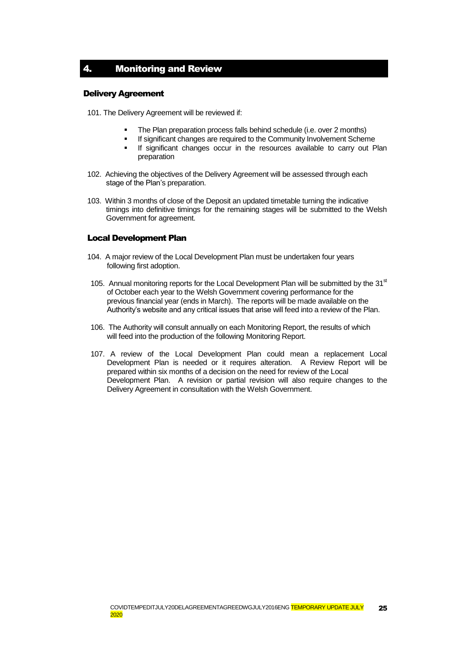# <span id="page-24-0"></span>4. Monitoring and Review

#### Delivery Agreement

101. The Delivery Agreement will be reviewed if:

- The Plan preparation process falls behind schedule (i.e. over 2 months)
- If significant changes are required to the Community Involvement Scheme
- **If significant changes occur in the resources available to carry out Plan** preparation
- 102. Achieving the objectives of the Delivery Agreement will be assessed through each stage of the Plan's preparation.
- 103. Within 3 months of close of the Deposit an updated timetable turning the indicative timings into definitive timings for the remaining stages will be submitted to the Welsh Government for agreement.

### Local Development Plan

- 104. A major review of the Local Development Plan must be undertaken four years following first adoption.
- 105. Annual monitoring reports for the Local Development Plan will be submitted by the  $31<sup>st</sup>$ of October each year to the Welsh Government covering performance for the previous financial year (ends in March). The reports will be made available on the Authority's website and any critical issues that arise will feed into a review of the Plan.
- 106. The Authority will consult annually on each Monitoring Report, the results of which will feed into the production of the following Monitoring Report.
- 107. A review of the Local Development Plan could mean a replacement Local Development Plan is needed or it requires alteration. A Review Report will be prepared within six months of a decision on the need for review of the Local Development Plan. A revision or partial revision will also require changes to the Delivery Agreement in consultation with the Welsh Government.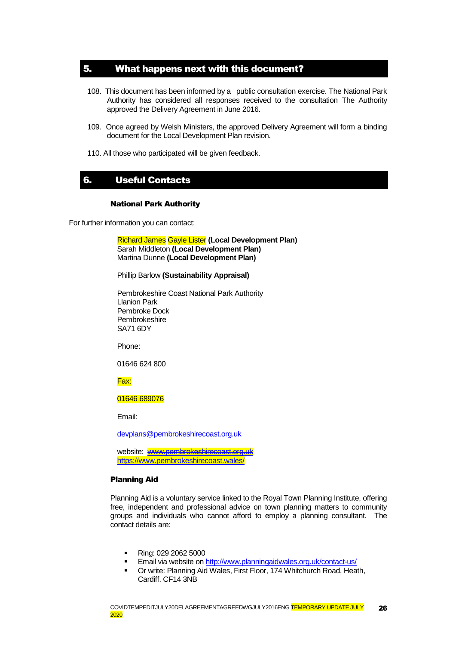## <span id="page-25-0"></span>5. What happens next with this document?

- 108. This document has been informed by a public consultation exercise. The National Park Authority has considered all responses received to the consultation The Authority approved the Delivery Agreement in June 2016.
- 109. Once agreed by Welsh Ministers, the approved Delivery Agreement will form a binding document for the Local Development Plan revision.
- 110. All those who participated will be given feedback.

# <span id="page-25-1"></span>6. Useful Contacts

#### National Park Authority

For further information you can contact:

Richard James Gayle Lister **(Local Development Plan)** Sarah Middleton **(Local Development Plan)** Martina Dunne **(Local Development Plan)**

#### Phillip Barlow **(Sustainability Appraisal)**

Pembrokeshire Coast National Park Authority Llanion Park Pembroke Dock Pembrokeshire SA71 6DY

Phone:

01646 624 800

Fax:

#### 01646 689076

Email:

[devplans@pembrokeshirecoast.org.uk](mailto:devplans@pembrokeshirecoast.org.uk)

website: [www.pembrokeshirecoast.org.uk](http://www.pembrokeshirecoast.org.uk/) https://www.pembrokeshirecoast.wales/

#### Planning Aid

Planning Aid is a voluntary service linked to the Royal Town Planning Institute, offering free, independent and professional advice on town planning matters to community groups and individuals who cannot afford to employ a planning consultant. The contact details are:

- **Ring: 029 2062 5000**
- **Email via website o[n http://www.planningaidwales.org.uk/contact-us/](http://www.planningaidwales.org.uk/contact-us/)**
- **Or write: Planning Aid Wales, First Floor, 174 Whitchurch Road, Heath,** Cardiff. CF14 3NB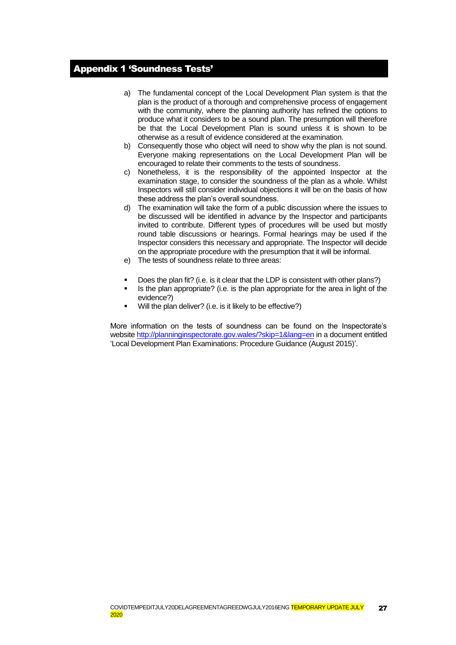# <span id="page-26-0"></span>Appendix 1 'Soundness Tests'

- a) The fundamental concept of the Local Development Plan system is that the plan is the product of a thorough and comprehensive process of engagement with the community, where the planning authority has refined the options to produce what it considers to be a sound plan. The presumption will therefore be that the Local Development Plan is sound unless it is shown to be otherwise as a result of evidence considered at the examination.
- b) Consequently those who object will need to show why the plan is not sound. Everyone making representations on the Local Development Plan will be encouraged to relate their comments to the tests of soundness.
- c) Nonetheless, it is the responsibility of the appointed Inspector at the examination stage, to consider the soundness of the plan as a whole. Whilst Inspectors will still consider individual objections it will be on the basis of how these address the plan's overall soundness.
- d) The examination will take the form of a public discussion where the issues to be discussed will be identified in advance by the Inspector and participants invited to contribute. Different types of procedures will be used but mostly round table discussions or hearings. Formal hearings may be used if the Inspector considers this necessary and appropriate. The Inspector will decide on the appropriate procedure with the presumption that it will be informal.
- e) The tests of soundness relate to three areas:
- Does the plan fit? (i.e. is it clear that the LDP is consistent with other plans?)
- Is the plan appropriate? (i.e. is the plan appropriate for the area in light of the evidence?)
- $\blacksquare$  Will the plan deliver? (i.e. is it likely to be effective?)

More information on the tests of soundness can be found on the Inspectorate's website <http://planninginspectorate.gov.wales/?skip=1&lang=en> in a document entitled 'Local Development Plan Examinations: Procedure Guidance (August 2015)'.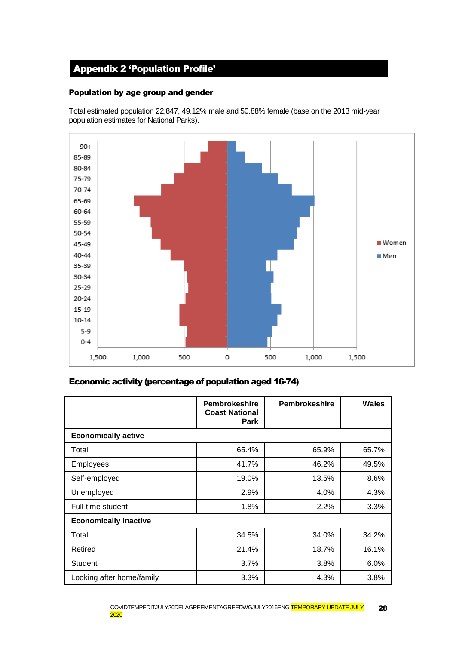# <span id="page-27-0"></span>Appendix 2 'Population Profile'

### Population by age group and gender

Total estimated population 22,847, 49.12% male and 50.88% female (base on the 2013 mid-year population estimates for National Parks).



### Economic activity (percentage of population aged 16-74)

|                              | <b>Pembrokeshire</b><br><b>Coast National</b><br><b>Park</b> | <b>Pembrokeshire</b> | <b>Wales</b> |
|------------------------------|--------------------------------------------------------------|----------------------|--------------|
| <b>Economically active</b>   |                                                              |                      |              |
| Total                        | 65.4%                                                        | 65.9%                | 65.7%        |
| <b>Employees</b>             | 41.7%                                                        | 46.2%                | 49.5%        |
| Self-employed                | 19.0%                                                        | 13.5%                | 8.6%         |
| Unemployed                   | 2.9%                                                         | 4.0%                 | 4.3%         |
| Full-time student            | 1.8%                                                         | 2.2%                 | 3.3%         |
| <b>Economically inactive</b> |                                                              |                      |              |
| Total                        | 34.5%                                                        | 34.0%                | 34.2%        |
| Retired                      | 21.4%                                                        | 18.7%                | 16.1%        |
| <b>Student</b>               | 3.7%                                                         | 3.8%                 | 6.0%         |
| Looking after home/family    | 3.3%                                                         | 4.3%                 | 3.8%         |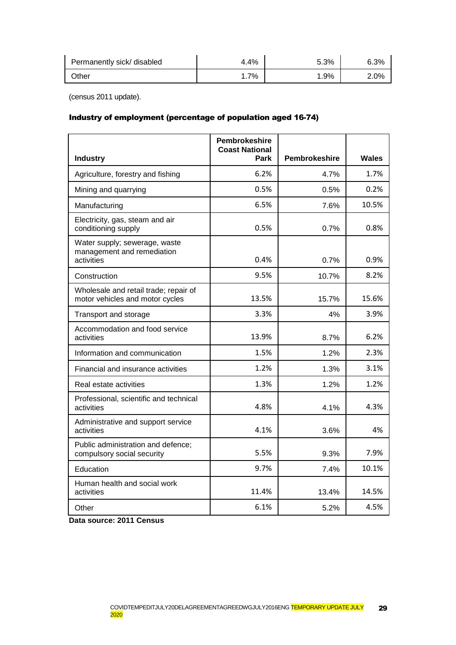| Permanently sick/ disabled | 4.4% | 5.3% | 6.3% |
|----------------------------|------|------|------|
| Other                      | 7%   | .9%  | 2.0% |

(census 2011 update).

### Industry of employment (percentage of population aged 16-74)

|                                                                           | <b>Pembrokeshire</b><br><b>Coast National</b> |               |              |
|---------------------------------------------------------------------------|-----------------------------------------------|---------------|--------------|
| <b>Industry</b>                                                           | Park                                          | Pembrokeshire | <b>Wales</b> |
| Agriculture, forestry and fishing                                         | 6.2%                                          | 4.7%          | 1.7%         |
| Mining and quarrying                                                      | 0.5%                                          | 0.5%          | 0.2%         |
| Manufacturing                                                             | 6.5%                                          | 7.6%          | 10.5%        |
| Electricity, gas, steam and air<br>conditioning supply                    | 0.5%                                          | 0.7%          | 0.8%         |
| Water supply; sewerage, waste<br>management and remediation<br>activities | 0.4%                                          | 0.7%          | 0.9%         |
| Construction                                                              | 9.5%                                          | 10.7%         | 8.2%         |
| Wholesale and retail trade; repair of<br>motor vehicles and motor cycles  | 13.5%                                         | 15.7%         | 15.6%        |
| Transport and storage                                                     | 3.3%                                          | 4%            | 3.9%         |
| Accommodation and food service<br>activities                              | 13.9%                                         | 8.7%          | 6.2%         |
| Information and communication                                             | 1.5%                                          | 1.2%          | 2.3%         |
| Financial and insurance activities                                        | 1.2%                                          | 1.3%          | 3.1%         |
| Real estate activities                                                    | 1.3%                                          | 1.2%          | 1.2%         |
| Professional, scientific and technical<br>activities                      | 4.8%                                          | 4.1%          | 4.3%         |
| Administrative and support service<br>activities                          | 4.1%                                          | 3.6%          | 4%           |
| Public administration and defence;<br>compulsory social security          | 5.5%                                          | 9.3%          | 7.9%         |
| Education                                                                 | 9.7%                                          | 7.4%          | 10.1%        |
| Human health and social work<br>activities                                | 11.4%                                         | 13.4%         | 14.5%        |
| Other                                                                     | 6.1%                                          | 5.2%          | 4.5%         |

**Data source: 2011 Census**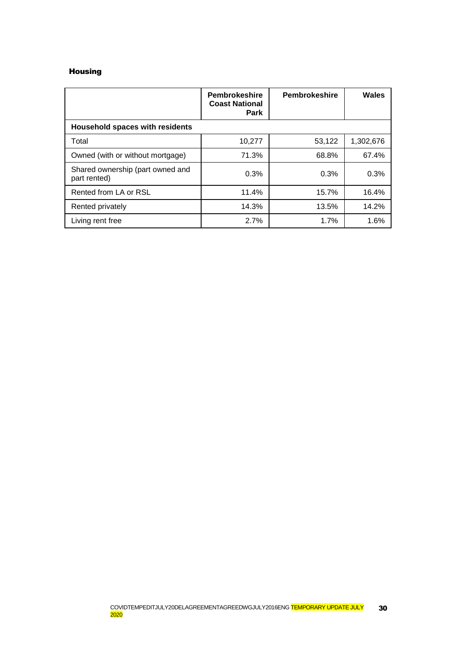### Housing

|                                                  | <b>Pembrokeshire</b><br><b>Coast National</b><br><b>Park</b> | <b>Pembrokeshire</b> | Wales     |
|--------------------------------------------------|--------------------------------------------------------------|----------------------|-----------|
| <b>Household spaces with residents</b>           |                                                              |                      |           |
| Total                                            | 10,277                                                       | 53,122               | 1,302,676 |
| Owned (with or without mortgage)                 | 71.3%                                                        | 68.8%                | 67.4%     |
| Shared ownership (part owned and<br>part rented) | 0.3%                                                         | 0.3%                 | 0.3%      |
| Rented from LA or RSL                            | 11.4%                                                        | 15.7%                | 16.4%     |
| Rented privately                                 | 14.3%                                                        | 13.5%                | 14.2%     |
| Living rent free                                 | 2.7%                                                         | 1.7%                 | 1.6%      |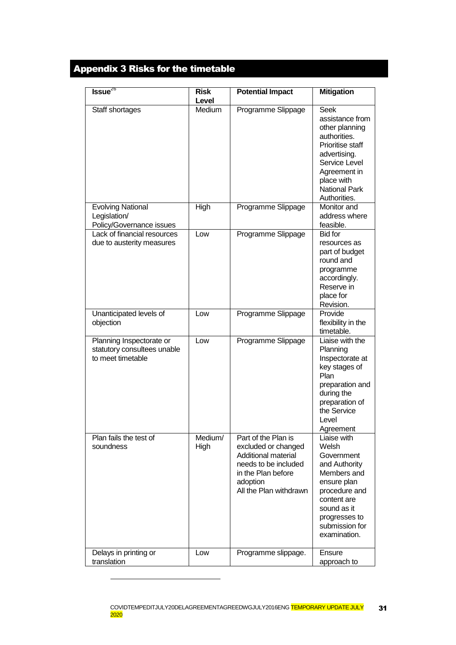# <span id="page-30-0"></span>Appendix 3 Risks for the timetable

| $Issue^{26}$                                                                 | <b>Risk</b><br>Level | <b>Potential Impact</b>                                                                                                                               | <b>Mitigation</b>                                                                                                                                                                           |
|------------------------------------------------------------------------------|----------------------|-------------------------------------------------------------------------------------------------------------------------------------------------------|---------------------------------------------------------------------------------------------------------------------------------------------------------------------------------------------|
| Staff shortages                                                              | Medium               | Programme Slippage                                                                                                                                    | <b>Seek</b><br>assistance from<br>other planning<br>authorities.<br>Prioritise staff<br>advertising.<br>Service Level<br>Agreement in<br>place with<br><b>National Park</b><br>Authorities. |
| <b>Evolving National</b><br>Legislation/<br>Policy/Governance issues         | High                 | Programme Slippage                                                                                                                                    | Monitor and<br>address where<br>feasible.                                                                                                                                                   |
| Lack of financial resources<br>due to austerity measures                     | Low                  | Programme Slippage                                                                                                                                    | <b>Bid for</b><br>resources as<br>part of budget<br>round and<br>programme<br>accordingly.<br>Reserve in<br>place for<br>Revision.                                                          |
| Unanticipated levels of<br>objection                                         | Low                  | Programme Slippage                                                                                                                                    | Provide<br>flexibility in the<br>timetable.                                                                                                                                                 |
| Planning Inspectorate or<br>statutory consultees unable<br>to meet timetable | Low                  | Programme Slippage                                                                                                                                    | Liaise with the<br>Planning<br>Inspectorate at<br>key stages of<br>Plan<br>preparation and<br>during the<br>preparation of<br>the Service<br>Level<br>Agreement                             |
| Plan fails the test of<br>soundness                                          | Medium/<br>High      | Part of the Plan is<br>excluded or changed<br>Additional material<br>needs to be included<br>in the Plan before<br>adoption<br>All the Plan withdrawn | Liaise with<br>Welsh<br>Government<br>and Authority<br>Members and<br>ensure plan<br>procedure and<br>content are<br>sound as it<br>progresses to<br>submission for<br>examination.         |
| Delays in printing or<br>translation                                         | Low                  | Programme slippage.                                                                                                                                   | Ensure<br>approach to                                                                                                                                                                       |

-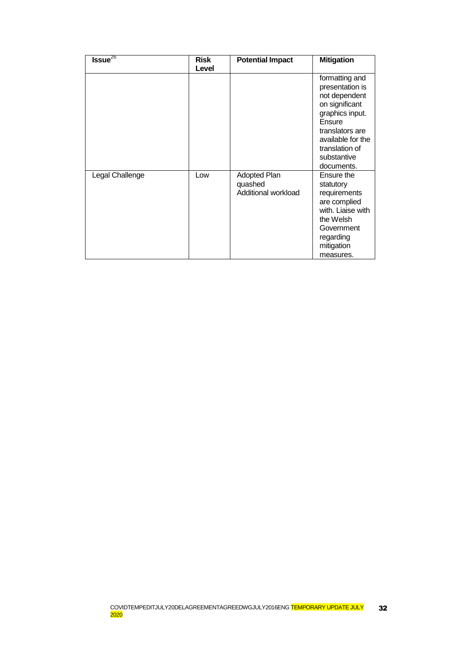| $Issue^{26}$    | <b>Risk</b> | <b>Potential Impact</b>                               | <b>Mitigation</b>                                                                                                                                                                        |
|-----------------|-------------|-------------------------------------------------------|------------------------------------------------------------------------------------------------------------------------------------------------------------------------------------------|
|                 | Level       |                                                       |                                                                                                                                                                                          |
|                 |             |                                                       | formatting and<br>presentation is<br>not dependent<br>on significant<br>graphics input.<br>Ensure<br>translators are<br>available for the<br>translation of<br>substantive<br>documents. |
| Legal Challenge | Low         | <b>Adopted Plan</b><br>quashed<br>Additional workload | Ensure the<br>statutory<br>requirements<br>are complied<br>with. Liaise with<br>the Welsh<br>Government<br>regarding<br>mitigation<br>measures.                                          |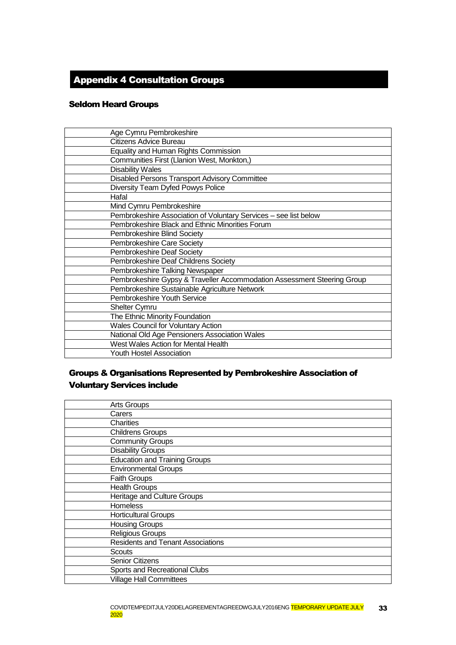# <span id="page-32-0"></span>Appendix 4 Consultation Groups

### Seldom Heard Groups

| Age Cymru Pembrokeshire                                                 |
|-------------------------------------------------------------------------|
| Citizens Advice Bureau                                                  |
| Equality and Human Rights Commission                                    |
| Communities First (Llanion West, Monkton,)                              |
| <b>Disability Wales</b>                                                 |
| Disabled Persons Transport Advisory Committee                           |
| Diversity Team Dyfed Powys Police                                       |
| Hafal                                                                   |
| Mind Cymru Pembrokeshire                                                |
| Pembrokeshire Association of Voluntary Services - see list below        |
| Pembrokeshire Black and Ethnic Minorities Forum                         |
| Pembrokeshire Blind Society                                             |
| Pembrokeshire Care Society                                              |
| Pembrokeshire Deaf Society                                              |
| Pembrokeshire Deaf Childrens Society                                    |
| Pembrokeshire Talking Newspaper                                         |
| Pembrokeshire Gypsy & Traveller Accommodation Assessment Steering Group |
| Pembrokeshire Sustainable Agriculture Network                           |
| Pembrokeshire Youth Service                                             |
| <b>Shelter Cymru</b>                                                    |
| The Ethnic Minority Foundation                                          |
| <b>Wales Council for Voluntary Action</b>                               |
| National Old Age Pensioners Association Wales                           |
| West Wales Action for Mental Health                                     |
| Youth Hostel Association                                                |

# Groups & Organisations Represented by Pembrokeshire Association of Voluntary Services include

| <b>Arts Groups</b>                       |
|------------------------------------------|
| Carers                                   |
| Charities                                |
| <b>Childrens Groups</b>                  |
| <b>Community Groups</b>                  |
| <b>Disability Groups</b>                 |
| <b>Education and Training Groups</b>     |
| <b>Environmental Groups</b>              |
| <b>Faith Groups</b>                      |
| <b>Health Groups</b>                     |
| Heritage and Culture Groups              |
| <b>Homeless</b>                          |
| <b>Horticultural Groups</b>              |
| <b>Housing Groups</b>                    |
| <b>Religious Groups</b>                  |
| <b>Residents and Tenant Associations</b> |
| Scouts                                   |
| <b>Senior Citizens</b>                   |
| Sports and Recreational Clubs            |
| <b>Village Hall Committees</b>           |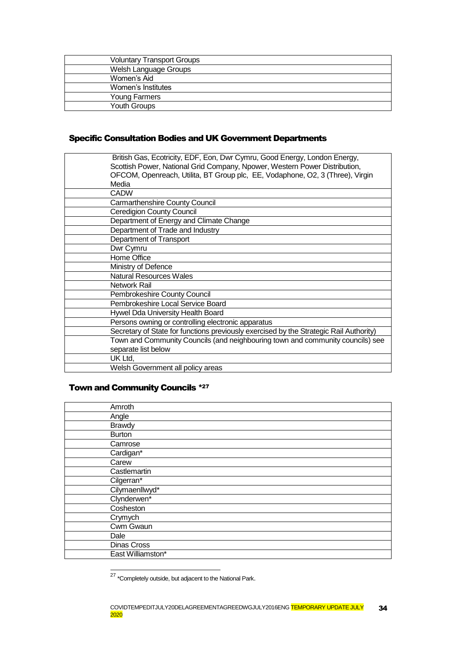| <b>Voluntary Transport Groups</b> |  |
|-----------------------------------|--|
| Welsh Language Groups             |  |
| Women's Aid                       |  |
| Women's Institutes                |  |
| Young Farmers                     |  |
| <b>Youth Groups</b>               |  |

# Specific Consultation Bodies and UK Government Departments

| British Gas, Ecotricity, EDF, Eon, Dwr Cymru, Good Energy, London Energy,              |
|----------------------------------------------------------------------------------------|
| Scottish Power, National Grid Company, Npower, Western Power Distribution,             |
| OFCOM, Openreach, Utilita, BT Group plc, EE, Vodaphone, O2, 3 (Three), Virgin<br>Media |
|                                                                                        |
| <b>CADW</b>                                                                            |
| Carmarthenshire County Council                                                         |
| <b>Ceredigion County Council</b>                                                       |
| Department of Energy and Climate Change                                                |
| Department of Trade and Industry                                                       |
| Department of Transport                                                                |
| Dwr Cymru                                                                              |
| Home Office                                                                            |
| Ministry of Defence                                                                    |
| <b>Natural Resources Wales</b>                                                         |
| Network Rail                                                                           |
| Pembrokeshire County Council                                                           |
| Pembrokeshire Local Service Board                                                      |
| Hywel Dda University Health Board                                                      |
| Persons owning or controlling electronic apparatus                                     |
| Secretary of State for functions previously exercised by the Strategic Rail Authority) |
| Town and Community Councils (and neighbouring town and community councils) see         |
| separate list below                                                                    |
| UK Ltd,                                                                                |
| Welsh Government all policy areas                                                      |

# Town and Community Councils \*<sup>27</sup>

-

| Amroth            |  |
|-------------------|--|
| Angle             |  |
| <b>Brawdy</b>     |  |
| <b>Burton</b>     |  |
| Camrose           |  |
| Cardigan*         |  |
| Carew             |  |
| Castlemartin      |  |
| Cilgerran*        |  |
| Cilymaenllwyd*    |  |
| Clynderwen*       |  |
| Cosheston         |  |
| Crymych           |  |
| Cwm Gwaun         |  |
| Dale              |  |
| Dinas Cross       |  |
| East Williamston* |  |

<sup>&</sup>lt;sup>27</sup> \*Completely outside, but adjacent to the National Park.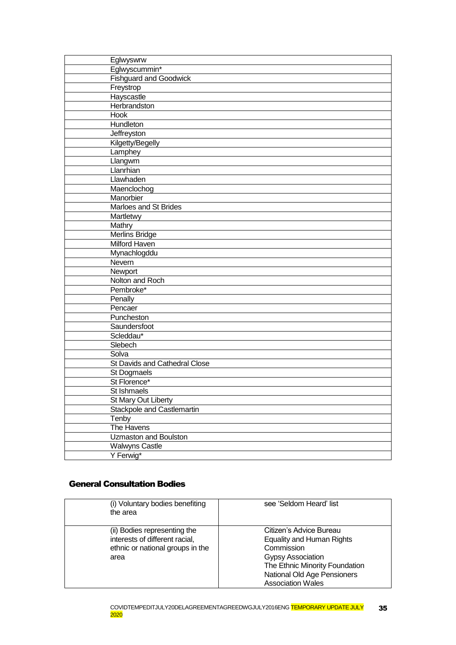| Eglwyswrw                     |
|-------------------------------|
| Eglwyscummin*                 |
| <b>Fishguard and Goodwick</b> |
| Freystrop                     |
| Hayscastle                    |
| Herbrandston                  |
| <b>Hook</b>                   |
| Hundleton                     |
| Jeffreyston                   |
| Kilgetty/Begelly              |
| Lamphey                       |
| Llangwm                       |
| Llanrhian                     |
| Llawhaden                     |
| Maenclochog                   |
| Manorbier                     |
| Marloes and St Brides         |
| Martletwy                     |
| Mathry                        |
| <b>Merlins Bridge</b>         |
| Milford Haven                 |
| Mynachlogddu                  |
| Nevern                        |
| Newport                       |
| Nolton and Roch               |
| Pembroke*                     |
| Penally                       |
| Pencaer                       |
| Puncheston                    |
| Saundersfoot                  |
| Scleddau*                     |
| Slebech                       |
| Solva                         |
| St Davids and Cathedral Close |
| St Dogmaels                   |
| St Florence*                  |
| St Ishmaels                   |
| St Mary Out Liberty           |
| Stackpole and Castlemartin    |
| Tenby                         |
| The Havens                    |
| Uzmaston and Boulston         |
| <b>Walwyns Castle</b>         |
| Y Ferwig*                     |

# General Consultation Bodies

| (i) Voluntary bodies benefiting<br>the area                                                                | see 'Seldom Heard' list                                                                                                                                                                            |
|------------------------------------------------------------------------------------------------------------|----------------------------------------------------------------------------------------------------------------------------------------------------------------------------------------------------|
| (ii) Bodies representing the<br>interests of different racial,<br>ethnic or national groups in the<br>area | Citizen's Advice Bureau<br><b>Equality and Human Rights</b><br>Commission<br><b>Gypsy Association</b><br>The Ethnic Minority Foundation<br>National Old Age Pensioners<br><b>Association Wales</b> |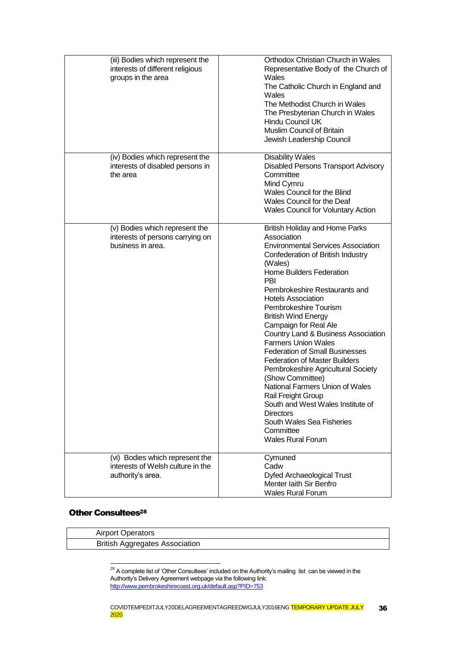| (iii) Bodies which represent the<br>interests of different religious<br>groups in the area | Orthodox Christian Church in Wales<br>Representative Body of the Church of<br>Wales<br>The Catholic Church in England and<br>Wales<br>The Methodist Church in Wales<br>The Presbyterian Church in Wales<br>Hindu Council UK<br><b>Muslim Council of Britain</b><br>Jewish Leadership Council                                                                                                                                                                                                                                                                                                                                                                                                                                                             |
|--------------------------------------------------------------------------------------------|----------------------------------------------------------------------------------------------------------------------------------------------------------------------------------------------------------------------------------------------------------------------------------------------------------------------------------------------------------------------------------------------------------------------------------------------------------------------------------------------------------------------------------------------------------------------------------------------------------------------------------------------------------------------------------------------------------------------------------------------------------|
| (iv) Bodies which represent the<br>interests of disabled persons in<br>the area            | <b>Disability Wales</b><br><b>Disabled Persons Transport Advisory</b><br>Committee<br>Mind Cymru<br>Wales Council for the Blind<br>Wales Council for the Deaf<br><b>Wales Council for Voluntary Action</b>                                                                                                                                                                                                                                                                                                                                                                                                                                                                                                                                               |
| (v) Bodies which represent the<br>interests of persons carrying on<br>business in area.    | <b>British Holiday and Home Parks</b><br>Association<br><b>Environmental Services Association</b><br>Confederation of British Industry<br>(Wales)<br><b>Home Builders Federation</b><br><b>PBI</b><br>Pembrokeshire Restaurants and<br><b>Hotels Association</b><br>Pembrokeshire Tourism<br><b>British Wind Energy</b><br>Campaign for Real Ale<br>Country Land & Business Association<br><b>Farmers Union Wales</b><br><b>Federation of Small Businesses</b><br><b>Federation of Master Builders</b><br>Pembrokeshire Agricultural Society<br>(Show Committee)<br>National Farmers Union of Wales<br>Rail Freight Group<br>South and West Wales Institute of<br><b>Directors</b><br>South Wales Sea Fisheries<br>Committee<br><b>Wales Rural Forum</b> |
| (vi) Bodies which represent the<br>interests of Welsh culture in the<br>authority's area.  | Cymuned<br>Cadw<br>Dyfed Archaeological Trust<br>Menter laith Sir Benfro<br><b>Wales Rural Forum</b>                                                                                                                                                                                                                                                                                                                                                                                                                                                                                                                                                                                                                                                     |

### **Other Consultees<sup>28</sup>**

| <b>Airport Operators</b>              |
|---------------------------------------|
| <b>British Aggregates Association</b> |
|                                       |

 $^{28}$  A complete list of 'Other Consultees' included on the Authority's mailing list can be viewed in the Authority's Delivery Agreement webpage via the following link: <http://www.pembrokeshirecoast.org.uk/default.asp?PID=753>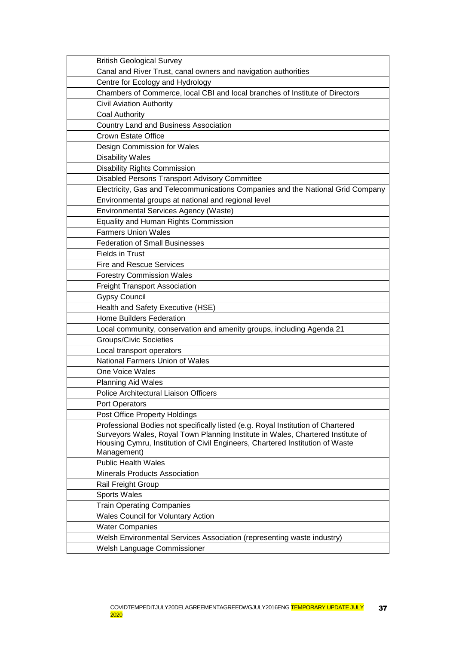| <b>British Geological Survey</b>                                                             |
|----------------------------------------------------------------------------------------------|
| Canal and River Trust, canal owners and navigation authorities                               |
| Centre for Ecology and Hydrology                                                             |
| Chambers of Commerce, local CBI and local branches of Institute of Directors                 |
| <b>Civil Aviation Authority</b>                                                              |
| <b>Coal Authority</b>                                                                        |
| <b>Country Land and Business Association</b>                                                 |
| <b>Crown Estate Office</b>                                                                   |
| Design Commission for Wales                                                                  |
| <b>Disability Wales</b>                                                                      |
| Disability Rights Commission                                                                 |
| Disabled Persons Transport Advisory Committee                                                |
| Electricity, Gas and Telecommunications Companies and the National Grid Company              |
| Environmental groups at national and regional level                                          |
| Environmental Services Agency (Waste)                                                        |
| <b>Equality and Human Rights Commission</b>                                                  |
| <b>Farmers Union Wales</b>                                                                   |
| <b>Federation of Small Businesses</b>                                                        |
| <b>Fields in Trust</b>                                                                       |
| <b>Fire and Rescue Services</b>                                                              |
| <b>Forestry Commission Wales</b>                                                             |
| <b>Freight Transport Association</b>                                                         |
| <b>Gypsy Council</b>                                                                         |
| Health and Safety Executive (HSE)                                                            |
| <b>Home Builders Federation</b>                                                              |
| Local community, conservation and amenity groups, including Agenda 21                        |
| <b>Groups/Civic Societies</b>                                                                |
| Local transport operators                                                                    |
| National Farmers Union of Wales                                                              |
| One Voice Wales                                                                              |
| <b>Planning Aid Wales</b>                                                                    |
| Police Architectural Liaison Officers                                                        |
| Port Operators                                                                               |
| Post Office Property Holdings                                                                |
| Professional Bodies not specifically listed (e.g. Royal Institution of Chartered             |
| Surveyors Wales, Royal Town Planning Institute in Wales, Chartered Institute of              |
| Housing Cymru, Institution of Civil Engineers, Chartered Institution of Waste<br>Management) |
| <b>Public Health Wales</b>                                                                   |
| <b>Minerals Products Association</b>                                                         |
|                                                                                              |
| Rail Freight Group                                                                           |
| <b>Sports Wales</b>                                                                          |
| <b>Train Operating Companies</b>                                                             |
| <b>Wales Council for Voluntary Action</b>                                                    |
| <b>Water Companies</b>                                                                       |
| Welsh Environmental Services Association (representing waste industry)                       |
| Welsh Language Commissioner                                                                  |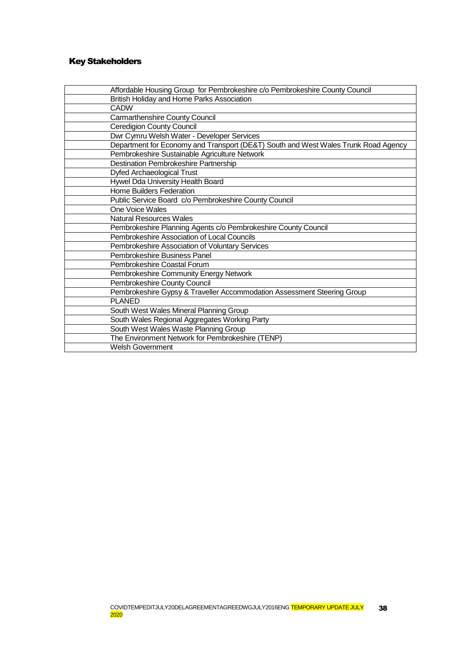# Key Stakeholders

| Affordable Housing Group for Pembrokeshire c/o Pembrokeshire County Council        |
|------------------------------------------------------------------------------------|
| British Holiday and Home Parks Association                                         |
| <b>CADW</b>                                                                        |
| Carmarthenshire County Council                                                     |
| <b>Ceredigion County Council</b>                                                   |
| Dwr Cymru Welsh Water - Developer Services                                         |
| Department for Economy and Transport (DE&T) South and West Wales Trunk Road Agency |
| Pembrokeshire Sustainable Agriculture Network                                      |
| <b>Destination Pembrokeshire Partnership</b>                                       |
| Dyfed Archaeological Trust                                                         |
| Hywel Dda University Health Board                                                  |
| <b>Home Builders Federation</b>                                                    |
| Public Service Board c/o Pembrokeshire County Council                              |
| One Voice Wales                                                                    |
| <b>Natural Resources Wales</b>                                                     |
| Pembrokeshire Planning Agents c/o Pembrokeshire County Council                     |
| Pembrokeshire Association of Local Councils                                        |
| Pembrokeshire Association of Voluntary Services                                    |
| Pembrokeshire Business Panel                                                       |
| Pembrokeshire Coastal Forum                                                        |
| Pembrokeshire Community Energy Network                                             |
| Pembrokeshire County Council                                                       |
| Pembrokeshire Gypsy & Traveller Accommodation Assessment Steering Group            |
| <b>PLANED</b>                                                                      |
| South West Wales Mineral Planning Group                                            |
| South Wales Regional Aggregates Working Party                                      |
| South West Wales Waste Planning Group                                              |
| The Environment Network for Pembrokeshire (TENP)                                   |
| <b>Welsh Government</b>                                                            |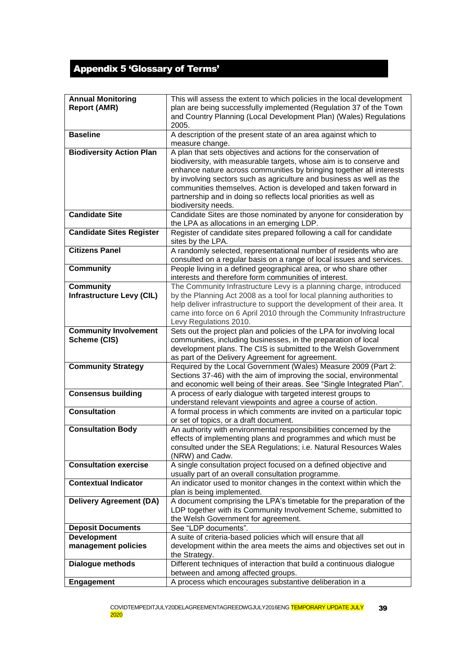# <span id="page-38-0"></span>Appendix 5 'Glossary of Terms'

| <b>Annual Monitoring</b>         | This will assess the extent to which policies in the local development                                  |
|----------------------------------|---------------------------------------------------------------------------------------------------------|
| <b>Report (AMR)</b>              | plan are being successfully implemented (Regulation 37 of the Town                                      |
|                                  | and Country Planning (Local Development Plan) (Wales) Regulations                                       |
|                                  | 2005.                                                                                                   |
| <b>Baseline</b>                  | A description of the present state of an area against which to                                          |
|                                  | measure change.                                                                                         |
| <b>Biodiversity Action Plan</b>  | A plan that sets objectives and actions for the conservation of                                         |
|                                  | biodiversity, with measurable targets, whose aim is to conserve and                                     |
|                                  | enhance nature across communities by bringing together all interests                                    |
|                                  | by involving sectors such as agriculture and business as well as the                                    |
|                                  |                                                                                                         |
|                                  | communities themselves. Action is developed and taken forward in                                        |
|                                  | partnership and in doing so reflects local priorities as well as                                        |
|                                  | biodiversity needs.                                                                                     |
| <b>Candidate Site</b>            | Candidate Sites are those nominated by anyone for consideration by                                      |
|                                  | the LPA as allocations in an emerging LDP.                                                              |
| <b>Candidate Sites Register</b>  | Register of candidate sites prepared following a call for candidate                                     |
|                                  | sites by the LPA.                                                                                       |
| <b>Citizens Panel</b>            | A randomly selected, representational number of residents who are                                       |
|                                  | consulted on a regular basis on a range of local issues and services.                                   |
| <b>Community</b>                 | People living in a defined geographical area, or who share other                                        |
|                                  | interests and therefore form communities of interest.                                                   |
| <b>Community</b>                 | The Community Infrastructure Levy is a planning charge, introduced                                      |
| <b>Infrastructure Levy (CIL)</b> | by the Planning Act 2008 as a tool for local planning authorities to                                    |
|                                  | help deliver infrastructure to support the development of their area. It                                |
|                                  | came into force on 6 April 2010 through the Community Infrastructure                                    |
|                                  | Levy Regulations 2010.                                                                                  |
| <b>Community Involvement</b>     | Sets out the project plan and policies of the LPA for involving local                                   |
| Scheme (CIS)                     | communities, including businesses, in the preparation of local                                          |
|                                  | development plans. The CIS is submitted to the Welsh Government                                         |
|                                  | as part of the Delivery Agreement for agreement.                                                        |
| <b>Community Strategy</b>        | Required by the Local Government (Wales) Measure 2009 (Part 2:                                          |
|                                  | Sections 37-46) with the aim of improving the social, environmental                                     |
|                                  | and economic well being of their areas. See "Single Integrated Plan".                                   |
| <b>Consensus building</b>        | A process of early dialogue with targeted interest groups to                                            |
|                                  | understand relevant viewpoints and agree a course of action.                                            |
| <b>Consultation</b>              | A formal process in which comments are invited on a particular topic                                    |
|                                  | or set of topics, or a draft document.                                                                  |
| <b>Consultation Body</b>         | An authority with environmental responsibilities concerned by the                                       |
|                                  | effects of implementing plans and programmes and which must be                                          |
|                                  | consulted under the SEA Regulations; i.e. Natural Resources Wales                                       |
|                                  | (NRW) and Cadw.                                                                                         |
| <b>Consultation exercise</b>     | A single consultation project focused on a defined objective and                                        |
|                                  | usually part of an overall consultation programme.                                                      |
| <b>Contextual Indicator</b>      | An indicator used to monitor changes in the context within which the                                    |
|                                  | plan is being implemented.                                                                              |
| <b>Delivery Agreement (DA)</b>   | A document comprising the LPA's timetable for the preparation of the                                    |
|                                  |                                                                                                         |
|                                  | LDP together with its Community Involvement Scheme, submitted to<br>the Welsh Government for agreement. |
|                                  |                                                                                                         |
| <b>Deposit Documents</b>         | See "LDP documents".                                                                                    |
| <b>Development</b>               | A suite of criteria-based policies which will ensure that all                                           |
| management policies              | development within the area meets the aims and objectives set out in                                    |
|                                  | the Strategy.                                                                                           |
| <b>Dialogue methods</b>          | Different techniques of interaction that build a continuous dialogue                                    |
|                                  | between and among affected groups.                                                                      |
| <b>Engagement</b>                | A process which encourages substantive deliberation in a                                                |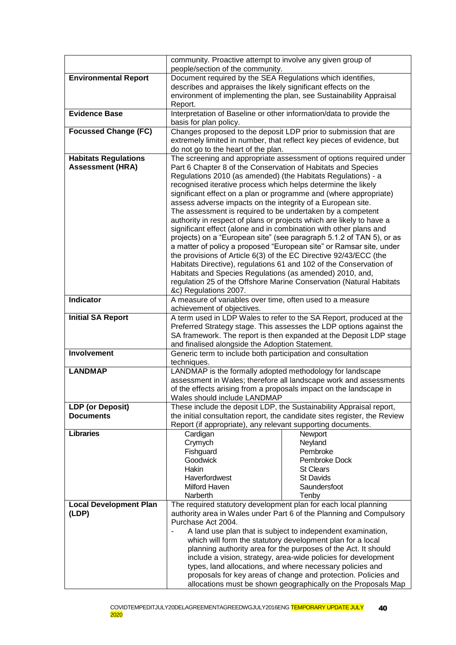|                               | community. Proactive attempt to involve any given group of                                     |                                                                       |
|-------------------------------|------------------------------------------------------------------------------------------------|-----------------------------------------------------------------------|
| <b>Environmental Report</b>   | people/section of the community.<br>Document required by the SEA Regulations which identifies, |                                                                       |
|                               | describes and appraises the likely significant effects on the                                  |                                                                       |
|                               |                                                                                                | environment of implementing the plan, see Sustainability Appraisal    |
|                               | Report.                                                                                        |                                                                       |
| <b>Evidence Base</b>          | Interpretation of Baseline or other information/data to provide the                            |                                                                       |
|                               | basis for plan policy.                                                                         |                                                                       |
| <b>Focussed Change (FC)</b>   |                                                                                                | Changes proposed to the deposit LDP prior to submission that are      |
|                               |                                                                                                | extremely limited in number, that reflect key pieces of evidence, but |
|                               | do not go to the heart of the plan.                                                            |                                                                       |
| <b>Habitats Regulations</b>   |                                                                                                | The screening and appropriate assessment of options required under    |
| <b>Assessment (HRA)</b>       | Part 6 Chapter 8 of the Conservation of Habitats and Species                                   |                                                                       |
|                               | Regulations 2010 (as amended) (the Habitats Regulations) - a                                   |                                                                       |
|                               | recognised iterative process which helps determine the likely                                  |                                                                       |
|                               |                                                                                                | significant effect on a plan or programme and (where appropriate)     |
|                               | assess adverse impacts on the integrity of a European site.                                    |                                                                       |
|                               | The assessment is required to be undertaken by a competent                                     |                                                                       |
|                               | authority in respect of plans or projects which are likely to have a                           |                                                                       |
|                               | significant effect (alone and in combination with other plans and                              |                                                                       |
|                               |                                                                                                | projects) on a "European site" (see paragraph 5.1.2 of TAN 5), or as  |
|                               |                                                                                                | a matter of policy a proposed "European site" or Ramsar site, under   |
|                               | the provisions of Article 6(3) of the EC Directive 92/43/ECC (the                              |                                                                       |
|                               |                                                                                                | Habitats Directive), regulations 61 and 102 of the Conservation of    |
|                               | Habitats and Species Regulations (as amended) 2010, and,                                       |                                                                       |
|                               |                                                                                                | regulation 25 of the Offshore Marine Conservation (Natural Habitats   |
|                               | &c) Regulations 2007.                                                                          |                                                                       |
| <b>Indicator</b>              | A measure of variables over time, often used to a measure<br>achievement of objectives.        |                                                                       |
| <b>Initial SA Report</b>      |                                                                                                | A term used in LDP Wales to refer to the SA Report, produced at the   |
|                               |                                                                                                | Preferred Strategy stage. This assesses the LDP options against the   |
|                               |                                                                                                | SA framework. The report is then expanded at the Deposit LDP stage    |
|                               | and finalised alongside the Adoption Statement.                                                |                                                                       |
| <b>Involvement</b>            | Generic term to include both participation and consultation                                    |                                                                       |
|                               | techniques.                                                                                    |                                                                       |
| <b>LANDMAP</b>                | LANDMAP is the formally adopted methodology for landscape                                      |                                                                       |
|                               |                                                                                                | assessment in Wales; therefore all landscape work and assessments     |
|                               |                                                                                                | of the effects arising from a proposals impact on the landscape in    |
|                               | Wales should include LANDMAP                                                                   |                                                                       |
| <b>LDP</b> (or Deposit)       |                                                                                                | These include the deposit LDP, the Sustainability Appraisal report,   |
| <b>Documents</b>              | the initial consultation report, the candidate sites register, the Review                      |                                                                       |
|                               | Report (if appropriate), any relevant supporting documents.                                    |                                                                       |
| <b>Libraries</b>              | Cardigan                                                                                       | Newport                                                               |
|                               | Crymych                                                                                        | Neyland                                                               |
|                               | Fishguard                                                                                      | Pembroke                                                              |
|                               | Goodwick                                                                                       | Pembroke Dock                                                         |
|                               | Hakin<br>Haverfordwest                                                                         | <b>St Clears</b><br><b>St Davids</b>                                  |
|                               | Milford Haven                                                                                  | Saundersfoot                                                          |
|                               | Narberth                                                                                       | Tenby                                                                 |
| <b>Local Development Plan</b> | The required statutory development plan for each local planning                                |                                                                       |
| (LDP)                         |                                                                                                | authority area in Wales under Part 6 of the Planning and Compulsory   |
|                               | Purchase Act 2004.                                                                             |                                                                       |
|                               |                                                                                                | A land use plan that is subject to independent examination,           |
|                               |                                                                                                | which will form the statutory development plan for a local            |
|                               |                                                                                                | planning authority area for the purposes of the Act. It should        |
|                               |                                                                                                | include a vision, strategy, area-wide policies for development        |
|                               |                                                                                                | types, land allocations, and where necessary policies and             |
|                               |                                                                                                | proposals for key areas of change and protection. Policies and        |
|                               |                                                                                                | allocations must be shown geographically on the Proposals Map         |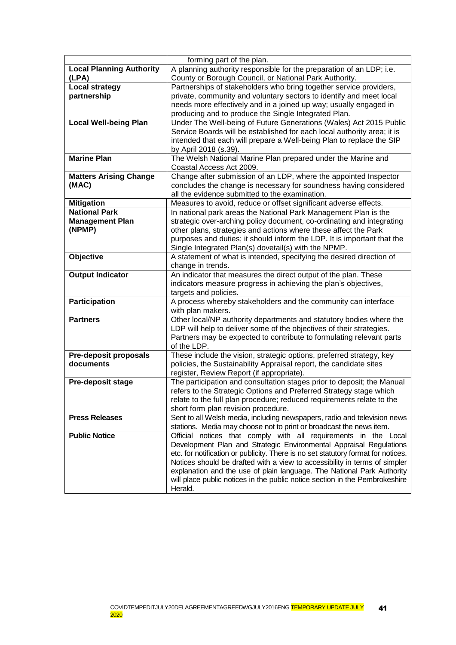| <b>Local Planning Authority</b><br>A planning authority responsible for the preparation of an LDP; i.e.<br>(LPA)<br>County or Borough Council, or National Park Authority.<br>Local strategy<br>Partnerships of stakeholders who bring together service providers,<br>partnership<br>private, community and voluntary sectors to identify and meet local<br>needs more effectively and in a joined up way; usually engaged in<br>producing and to produce the Single Integrated Plan.<br><b>Local Well-being Plan</b><br>Under The Well-being of Future Generations (Wales) Act 2015 Public<br>Service Boards will be established for each local authority area; it is<br>intended that each will prepare a Well-being Plan to replace the SIP<br>by April 2018 (s.39).<br><b>Marine Plan</b><br>The Welsh National Marine Plan prepared under the Marine and<br>Coastal Access Act 2009.<br>Change after submission of an LDP, where the appointed Inspector<br><b>Matters Arising Change</b><br>(MAC)<br>concludes the change is necessary for soundness having considered<br>all the evidence submitted to the examination.<br>Measures to avoid, reduce or offset significant adverse effects.<br><b>Mitigation</b><br><b>National Park</b><br>In national park areas the National Park Management Plan is the<br><b>Management Plan</b><br>strategic over-arching policy document, co-ordinating and integrating<br>other plans, strategies and actions where these affect the Park<br>(NPMP)<br>purposes and duties; it should inform the LDP. It is important that the<br>Single Integrated Plan(s) dovetail(s) with the NPMP.<br>Objective<br>A statement of what is intended, specifying the desired direction of<br>change in trends.<br><b>Output Indicator</b><br>An indicator that measures the direct output of the plan. These<br>indicators measure progress in achieving the plan's objectives,<br>targets and policies.<br><b>Participation</b><br>A process whereby stakeholders and the community can interface<br>with plan makers.<br>Other local/NP authority departments and statutory bodies where the<br><b>Partners</b><br>LDP will help to deliver some of the objectives of their strategies.<br>Partners may be expected to contribute to formulating relevant parts<br>of the LDP.<br>These include the vision, strategic options, preferred strategy, key<br><b>Pre-deposit proposals</b><br>documents<br>policies, the Sustainability Appraisal report, the candidate sites<br>register, Review Report (if appropriate). |
|-----------------------------------------------------------------------------------------------------------------------------------------------------------------------------------------------------------------------------------------------------------------------------------------------------------------------------------------------------------------------------------------------------------------------------------------------------------------------------------------------------------------------------------------------------------------------------------------------------------------------------------------------------------------------------------------------------------------------------------------------------------------------------------------------------------------------------------------------------------------------------------------------------------------------------------------------------------------------------------------------------------------------------------------------------------------------------------------------------------------------------------------------------------------------------------------------------------------------------------------------------------------------------------------------------------------------------------------------------------------------------------------------------------------------------------------------------------------------------------------------------------------------------------------------------------------------------------------------------------------------------------------------------------------------------------------------------------------------------------------------------------------------------------------------------------------------------------------------------------------------------------------------------------------------------------------------------------------------------------------------------------------------------------------------------------------------------------------------------------------------------------------------------------------------------------------------------------------------------------------------------------------------------------------------------------------------------------------------------------------------------------------------------------------------------------------------------------------------------------------------------------------------------------------------------------|
|                                                                                                                                                                                                                                                                                                                                                                                                                                                                                                                                                                                                                                                                                                                                                                                                                                                                                                                                                                                                                                                                                                                                                                                                                                                                                                                                                                                                                                                                                                                                                                                                                                                                                                                                                                                                                                                                                                                                                                                                                                                                                                                                                                                                                                                                                                                                                                                                                                                                                                                                                           |
|                                                                                                                                                                                                                                                                                                                                                                                                                                                                                                                                                                                                                                                                                                                                                                                                                                                                                                                                                                                                                                                                                                                                                                                                                                                                                                                                                                                                                                                                                                                                                                                                                                                                                                                                                                                                                                                                                                                                                                                                                                                                                                                                                                                                                                                                                                                                                                                                                                                                                                                                                           |
|                                                                                                                                                                                                                                                                                                                                                                                                                                                                                                                                                                                                                                                                                                                                                                                                                                                                                                                                                                                                                                                                                                                                                                                                                                                                                                                                                                                                                                                                                                                                                                                                                                                                                                                                                                                                                                                                                                                                                                                                                                                                                                                                                                                                                                                                                                                                                                                                                                                                                                                                                           |
|                                                                                                                                                                                                                                                                                                                                                                                                                                                                                                                                                                                                                                                                                                                                                                                                                                                                                                                                                                                                                                                                                                                                                                                                                                                                                                                                                                                                                                                                                                                                                                                                                                                                                                                                                                                                                                                                                                                                                                                                                                                                                                                                                                                                                                                                                                                                                                                                                                                                                                                                                           |
|                                                                                                                                                                                                                                                                                                                                                                                                                                                                                                                                                                                                                                                                                                                                                                                                                                                                                                                                                                                                                                                                                                                                                                                                                                                                                                                                                                                                                                                                                                                                                                                                                                                                                                                                                                                                                                                                                                                                                                                                                                                                                                                                                                                                                                                                                                                                                                                                                                                                                                                                                           |
|                                                                                                                                                                                                                                                                                                                                                                                                                                                                                                                                                                                                                                                                                                                                                                                                                                                                                                                                                                                                                                                                                                                                                                                                                                                                                                                                                                                                                                                                                                                                                                                                                                                                                                                                                                                                                                                                                                                                                                                                                                                                                                                                                                                                                                                                                                                                                                                                                                                                                                                                                           |
|                                                                                                                                                                                                                                                                                                                                                                                                                                                                                                                                                                                                                                                                                                                                                                                                                                                                                                                                                                                                                                                                                                                                                                                                                                                                                                                                                                                                                                                                                                                                                                                                                                                                                                                                                                                                                                                                                                                                                                                                                                                                                                                                                                                                                                                                                                                                                                                                                                                                                                                                                           |
|                                                                                                                                                                                                                                                                                                                                                                                                                                                                                                                                                                                                                                                                                                                                                                                                                                                                                                                                                                                                                                                                                                                                                                                                                                                                                                                                                                                                                                                                                                                                                                                                                                                                                                                                                                                                                                                                                                                                                                                                                                                                                                                                                                                                                                                                                                                                                                                                                                                                                                                                                           |
|                                                                                                                                                                                                                                                                                                                                                                                                                                                                                                                                                                                                                                                                                                                                                                                                                                                                                                                                                                                                                                                                                                                                                                                                                                                                                                                                                                                                                                                                                                                                                                                                                                                                                                                                                                                                                                                                                                                                                                                                                                                                                                                                                                                                                                                                                                                                                                                                                                                                                                                                                           |
|                                                                                                                                                                                                                                                                                                                                                                                                                                                                                                                                                                                                                                                                                                                                                                                                                                                                                                                                                                                                                                                                                                                                                                                                                                                                                                                                                                                                                                                                                                                                                                                                                                                                                                                                                                                                                                                                                                                                                                                                                                                                                                                                                                                                                                                                                                                                                                                                                                                                                                                                                           |
|                                                                                                                                                                                                                                                                                                                                                                                                                                                                                                                                                                                                                                                                                                                                                                                                                                                                                                                                                                                                                                                                                                                                                                                                                                                                                                                                                                                                                                                                                                                                                                                                                                                                                                                                                                                                                                                                                                                                                                                                                                                                                                                                                                                                                                                                                                                                                                                                                                                                                                                                                           |
|                                                                                                                                                                                                                                                                                                                                                                                                                                                                                                                                                                                                                                                                                                                                                                                                                                                                                                                                                                                                                                                                                                                                                                                                                                                                                                                                                                                                                                                                                                                                                                                                                                                                                                                                                                                                                                                                                                                                                                                                                                                                                                                                                                                                                                                                                                                                                                                                                                                                                                                                                           |
|                                                                                                                                                                                                                                                                                                                                                                                                                                                                                                                                                                                                                                                                                                                                                                                                                                                                                                                                                                                                                                                                                                                                                                                                                                                                                                                                                                                                                                                                                                                                                                                                                                                                                                                                                                                                                                                                                                                                                                                                                                                                                                                                                                                                                                                                                                                                                                                                                                                                                                                                                           |
|                                                                                                                                                                                                                                                                                                                                                                                                                                                                                                                                                                                                                                                                                                                                                                                                                                                                                                                                                                                                                                                                                                                                                                                                                                                                                                                                                                                                                                                                                                                                                                                                                                                                                                                                                                                                                                                                                                                                                                                                                                                                                                                                                                                                                                                                                                                                                                                                                                                                                                                                                           |
|                                                                                                                                                                                                                                                                                                                                                                                                                                                                                                                                                                                                                                                                                                                                                                                                                                                                                                                                                                                                                                                                                                                                                                                                                                                                                                                                                                                                                                                                                                                                                                                                                                                                                                                                                                                                                                                                                                                                                                                                                                                                                                                                                                                                                                                                                                                                                                                                                                                                                                                                                           |
|                                                                                                                                                                                                                                                                                                                                                                                                                                                                                                                                                                                                                                                                                                                                                                                                                                                                                                                                                                                                                                                                                                                                                                                                                                                                                                                                                                                                                                                                                                                                                                                                                                                                                                                                                                                                                                                                                                                                                                                                                                                                                                                                                                                                                                                                                                                                                                                                                                                                                                                                                           |
|                                                                                                                                                                                                                                                                                                                                                                                                                                                                                                                                                                                                                                                                                                                                                                                                                                                                                                                                                                                                                                                                                                                                                                                                                                                                                                                                                                                                                                                                                                                                                                                                                                                                                                                                                                                                                                                                                                                                                                                                                                                                                                                                                                                                                                                                                                                                                                                                                                                                                                                                                           |
|                                                                                                                                                                                                                                                                                                                                                                                                                                                                                                                                                                                                                                                                                                                                                                                                                                                                                                                                                                                                                                                                                                                                                                                                                                                                                                                                                                                                                                                                                                                                                                                                                                                                                                                                                                                                                                                                                                                                                                                                                                                                                                                                                                                                                                                                                                                                                                                                                                                                                                                                                           |
|                                                                                                                                                                                                                                                                                                                                                                                                                                                                                                                                                                                                                                                                                                                                                                                                                                                                                                                                                                                                                                                                                                                                                                                                                                                                                                                                                                                                                                                                                                                                                                                                                                                                                                                                                                                                                                                                                                                                                                                                                                                                                                                                                                                                                                                                                                                                                                                                                                                                                                                                                           |
|                                                                                                                                                                                                                                                                                                                                                                                                                                                                                                                                                                                                                                                                                                                                                                                                                                                                                                                                                                                                                                                                                                                                                                                                                                                                                                                                                                                                                                                                                                                                                                                                                                                                                                                                                                                                                                                                                                                                                                                                                                                                                                                                                                                                                                                                                                                                                                                                                                                                                                                                                           |
|                                                                                                                                                                                                                                                                                                                                                                                                                                                                                                                                                                                                                                                                                                                                                                                                                                                                                                                                                                                                                                                                                                                                                                                                                                                                                                                                                                                                                                                                                                                                                                                                                                                                                                                                                                                                                                                                                                                                                                                                                                                                                                                                                                                                                                                                                                                                                                                                                                                                                                                                                           |
|                                                                                                                                                                                                                                                                                                                                                                                                                                                                                                                                                                                                                                                                                                                                                                                                                                                                                                                                                                                                                                                                                                                                                                                                                                                                                                                                                                                                                                                                                                                                                                                                                                                                                                                                                                                                                                                                                                                                                                                                                                                                                                                                                                                                                                                                                                                                                                                                                                                                                                                                                           |
|                                                                                                                                                                                                                                                                                                                                                                                                                                                                                                                                                                                                                                                                                                                                                                                                                                                                                                                                                                                                                                                                                                                                                                                                                                                                                                                                                                                                                                                                                                                                                                                                                                                                                                                                                                                                                                                                                                                                                                                                                                                                                                                                                                                                                                                                                                                                                                                                                                                                                                                                                           |
|                                                                                                                                                                                                                                                                                                                                                                                                                                                                                                                                                                                                                                                                                                                                                                                                                                                                                                                                                                                                                                                                                                                                                                                                                                                                                                                                                                                                                                                                                                                                                                                                                                                                                                                                                                                                                                                                                                                                                                                                                                                                                                                                                                                                                                                                                                                                                                                                                                                                                                                                                           |
|                                                                                                                                                                                                                                                                                                                                                                                                                                                                                                                                                                                                                                                                                                                                                                                                                                                                                                                                                                                                                                                                                                                                                                                                                                                                                                                                                                                                                                                                                                                                                                                                                                                                                                                                                                                                                                                                                                                                                                                                                                                                                                                                                                                                                                                                                                                                                                                                                                                                                                                                                           |
|                                                                                                                                                                                                                                                                                                                                                                                                                                                                                                                                                                                                                                                                                                                                                                                                                                                                                                                                                                                                                                                                                                                                                                                                                                                                                                                                                                                                                                                                                                                                                                                                                                                                                                                                                                                                                                                                                                                                                                                                                                                                                                                                                                                                                                                                                                                                                                                                                                                                                                                                                           |
|                                                                                                                                                                                                                                                                                                                                                                                                                                                                                                                                                                                                                                                                                                                                                                                                                                                                                                                                                                                                                                                                                                                                                                                                                                                                                                                                                                                                                                                                                                                                                                                                                                                                                                                                                                                                                                                                                                                                                                                                                                                                                                                                                                                                                                                                                                                                                                                                                                                                                                                                                           |
|                                                                                                                                                                                                                                                                                                                                                                                                                                                                                                                                                                                                                                                                                                                                                                                                                                                                                                                                                                                                                                                                                                                                                                                                                                                                                                                                                                                                                                                                                                                                                                                                                                                                                                                                                                                                                                                                                                                                                                                                                                                                                                                                                                                                                                                                                                                                                                                                                                                                                                                                                           |
|                                                                                                                                                                                                                                                                                                                                                                                                                                                                                                                                                                                                                                                                                                                                                                                                                                                                                                                                                                                                                                                                                                                                                                                                                                                                                                                                                                                                                                                                                                                                                                                                                                                                                                                                                                                                                                                                                                                                                                                                                                                                                                                                                                                                                                                                                                                                                                                                                                                                                                                                                           |
|                                                                                                                                                                                                                                                                                                                                                                                                                                                                                                                                                                                                                                                                                                                                                                                                                                                                                                                                                                                                                                                                                                                                                                                                                                                                                                                                                                                                                                                                                                                                                                                                                                                                                                                                                                                                                                                                                                                                                                                                                                                                                                                                                                                                                                                                                                                                                                                                                                                                                                                                                           |
|                                                                                                                                                                                                                                                                                                                                                                                                                                                                                                                                                                                                                                                                                                                                                                                                                                                                                                                                                                                                                                                                                                                                                                                                                                                                                                                                                                                                                                                                                                                                                                                                                                                                                                                                                                                                                                                                                                                                                                                                                                                                                                                                                                                                                                                                                                                                                                                                                                                                                                                                                           |
|                                                                                                                                                                                                                                                                                                                                                                                                                                                                                                                                                                                                                                                                                                                                                                                                                                                                                                                                                                                                                                                                                                                                                                                                                                                                                                                                                                                                                                                                                                                                                                                                                                                                                                                                                                                                                                                                                                                                                                                                                                                                                                                                                                                                                                                                                                                                                                                                                                                                                                                                                           |
|                                                                                                                                                                                                                                                                                                                                                                                                                                                                                                                                                                                                                                                                                                                                                                                                                                                                                                                                                                                                                                                                                                                                                                                                                                                                                                                                                                                                                                                                                                                                                                                                                                                                                                                                                                                                                                                                                                                                                                                                                                                                                                                                                                                                                                                                                                                                                                                                                                                                                                                                                           |
|                                                                                                                                                                                                                                                                                                                                                                                                                                                                                                                                                                                                                                                                                                                                                                                                                                                                                                                                                                                                                                                                                                                                                                                                                                                                                                                                                                                                                                                                                                                                                                                                                                                                                                                                                                                                                                                                                                                                                                                                                                                                                                                                                                                                                                                                                                                                                                                                                                                                                                                                                           |
| Pre-deposit stage<br>The participation and consultation stages prior to deposit; the Manual                                                                                                                                                                                                                                                                                                                                                                                                                                                                                                                                                                                                                                                                                                                                                                                                                                                                                                                                                                                                                                                                                                                                                                                                                                                                                                                                                                                                                                                                                                                                                                                                                                                                                                                                                                                                                                                                                                                                                                                                                                                                                                                                                                                                                                                                                                                                                                                                                                                               |
| refers to the Strategic Options and Preferred Strategy stage which                                                                                                                                                                                                                                                                                                                                                                                                                                                                                                                                                                                                                                                                                                                                                                                                                                                                                                                                                                                                                                                                                                                                                                                                                                                                                                                                                                                                                                                                                                                                                                                                                                                                                                                                                                                                                                                                                                                                                                                                                                                                                                                                                                                                                                                                                                                                                                                                                                                                                        |
| relate to the full plan procedure; reduced requirements relate to the                                                                                                                                                                                                                                                                                                                                                                                                                                                                                                                                                                                                                                                                                                                                                                                                                                                                                                                                                                                                                                                                                                                                                                                                                                                                                                                                                                                                                                                                                                                                                                                                                                                                                                                                                                                                                                                                                                                                                                                                                                                                                                                                                                                                                                                                                                                                                                                                                                                                                     |
| short form plan revision procedure.                                                                                                                                                                                                                                                                                                                                                                                                                                                                                                                                                                                                                                                                                                                                                                                                                                                                                                                                                                                                                                                                                                                                                                                                                                                                                                                                                                                                                                                                                                                                                                                                                                                                                                                                                                                                                                                                                                                                                                                                                                                                                                                                                                                                                                                                                                                                                                                                                                                                                                                       |
| Sent to all Welsh media, including newspapers, radio and television news<br><b>Press Releases</b>                                                                                                                                                                                                                                                                                                                                                                                                                                                                                                                                                                                                                                                                                                                                                                                                                                                                                                                                                                                                                                                                                                                                                                                                                                                                                                                                                                                                                                                                                                                                                                                                                                                                                                                                                                                                                                                                                                                                                                                                                                                                                                                                                                                                                                                                                                                                                                                                                                                         |
| stations. Media may choose not to print or broadcast the news item.                                                                                                                                                                                                                                                                                                                                                                                                                                                                                                                                                                                                                                                                                                                                                                                                                                                                                                                                                                                                                                                                                                                                                                                                                                                                                                                                                                                                                                                                                                                                                                                                                                                                                                                                                                                                                                                                                                                                                                                                                                                                                                                                                                                                                                                                                                                                                                                                                                                                                       |
| <b>Public Notice</b><br>Official notices that comply with all requirements in the Local                                                                                                                                                                                                                                                                                                                                                                                                                                                                                                                                                                                                                                                                                                                                                                                                                                                                                                                                                                                                                                                                                                                                                                                                                                                                                                                                                                                                                                                                                                                                                                                                                                                                                                                                                                                                                                                                                                                                                                                                                                                                                                                                                                                                                                                                                                                                                                                                                                                                   |
| Development Plan and Strategic Environmental Appraisal Regulations                                                                                                                                                                                                                                                                                                                                                                                                                                                                                                                                                                                                                                                                                                                                                                                                                                                                                                                                                                                                                                                                                                                                                                                                                                                                                                                                                                                                                                                                                                                                                                                                                                                                                                                                                                                                                                                                                                                                                                                                                                                                                                                                                                                                                                                                                                                                                                                                                                                                                        |
| etc. for notification or publicity. There is no set statutory format for notices.                                                                                                                                                                                                                                                                                                                                                                                                                                                                                                                                                                                                                                                                                                                                                                                                                                                                                                                                                                                                                                                                                                                                                                                                                                                                                                                                                                                                                                                                                                                                                                                                                                                                                                                                                                                                                                                                                                                                                                                                                                                                                                                                                                                                                                                                                                                                                                                                                                                                         |
| Notices should be drafted with a view to accessibility in terms of simpler                                                                                                                                                                                                                                                                                                                                                                                                                                                                                                                                                                                                                                                                                                                                                                                                                                                                                                                                                                                                                                                                                                                                                                                                                                                                                                                                                                                                                                                                                                                                                                                                                                                                                                                                                                                                                                                                                                                                                                                                                                                                                                                                                                                                                                                                                                                                                                                                                                                                                |
| explanation and the use of plain language. The National Park Authority                                                                                                                                                                                                                                                                                                                                                                                                                                                                                                                                                                                                                                                                                                                                                                                                                                                                                                                                                                                                                                                                                                                                                                                                                                                                                                                                                                                                                                                                                                                                                                                                                                                                                                                                                                                                                                                                                                                                                                                                                                                                                                                                                                                                                                                                                                                                                                                                                                                                                    |
| will place public notices in the public notice section in the Pembrokeshire                                                                                                                                                                                                                                                                                                                                                                                                                                                                                                                                                                                                                                                                                                                                                                                                                                                                                                                                                                                                                                                                                                                                                                                                                                                                                                                                                                                                                                                                                                                                                                                                                                                                                                                                                                                                                                                                                                                                                                                                                                                                                                                                                                                                                                                                                                                                                                                                                                                                               |
| Herald.                                                                                                                                                                                                                                                                                                                                                                                                                                                                                                                                                                                                                                                                                                                                                                                                                                                                                                                                                                                                                                                                                                                                                                                                                                                                                                                                                                                                                                                                                                                                                                                                                                                                                                                                                                                                                                                                                                                                                                                                                                                                                                                                                                                                                                                                                                                                                                                                                                                                                                                                                   |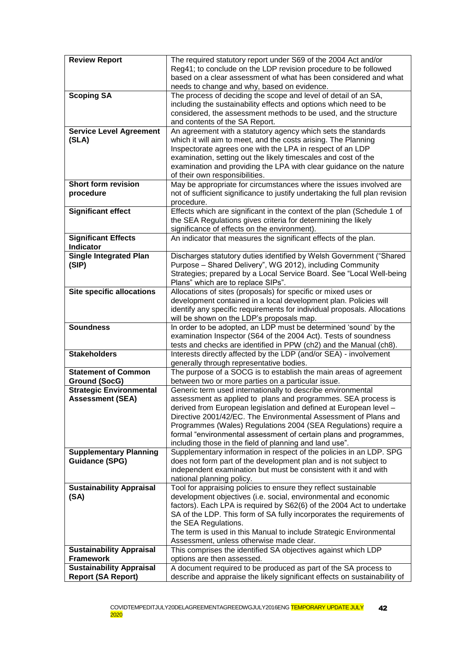| <b>Review Report</b>                                | The required statutory report under S69 of the 2004 Act and/or<br>Reg41; to conclude on the LDP revision procedure to be followed     |
|-----------------------------------------------------|---------------------------------------------------------------------------------------------------------------------------------------|
|                                                     | based on a clear assessment of what has been considered and what<br>needs to change and why, based on evidence.                       |
| <b>Scoping SA</b>                                   | The process of deciding the scope and level of detail of an SA,                                                                       |
|                                                     | including the sustainability effects and options which need to be                                                                     |
|                                                     | considered, the assessment methods to be used, and the structure                                                                      |
|                                                     | and contents of the SA Report.                                                                                                        |
| <b>Service Level Agreement</b>                      | An agreement with a statutory agency which sets the standards                                                                         |
| (SLA)                                               | which it will aim to meet, and the costs arising. The Planning                                                                        |
|                                                     | Inspectorate agrees one with the LPA in respect of an LDP                                                                             |
|                                                     | examination, setting out the likely timescales and cost of the<br>examination and providing the LPA with clear guidance on the nature |
|                                                     | of their own responsibilities.                                                                                                        |
| <b>Short form revision</b>                          | May be appropriate for circumstances where the issues involved are                                                                    |
| procedure                                           | not of sufficient significance to justify undertaking the full plan revision                                                          |
|                                                     | procedure.                                                                                                                            |
| <b>Significant effect</b>                           | Effects which are significant in the context of the plan (Schedule 1 of                                                               |
|                                                     | the SEA Regulations gives criteria for determining the likely                                                                         |
|                                                     | significance of effects on the environment).                                                                                          |
| <b>Significant Effects</b><br><b>Indicator</b>      | An indicator that measures the significant effects of the plan.                                                                       |
| <b>Single Integrated Plan</b>                       | Discharges statutory duties identified by Welsh Government ("Shared                                                                   |
| (SIP)                                               | Purpose - Shared Delivery", WG 2012), including Community                                                                             |
|                                                     | Strategies; prepared by a Local Service Board. See "Local Well-being                                                                  |
| <b>Site specific allocations</b>                    | Plans" which are to replace SIPs".<br>Allocations of sites (proposals) for specific or mixed uses or                                  |
|                                                     | development contained in a local development plan. Policies will                                                                      |
|                                                     | identify any specific requirements for individual proposals. Allocations                                                              |
|                                                     | will be shown on the LDP's proposals map.                                                                                             |
| <b>Soundness</b>                                    | In order to be adopted, an LDP must be determined 'sound' by the                                                                      |
|                                                     | examination Inspector (S64 of the 2004 Act). Tests of soundness                                                                       |
| <b>Stakeholders</b>                                 | tests and checks are identified in PPW (ch2) and the Manual (ch8).                                                                    |
|                                                     | Interests directly affected by the LDP (and/or SEA) - involvement<br>generally through representative bodies.                         |
| <b>Statement of Common</b>                          | The purpose of a SOCG is to establish the main areas of agreement                                                                     |
| <b>Ground (SocG)</b>                                | between two or more parties on a particular issue.                                                                                    |
| <b>Strategic Environmental</b>                      | Generic term used internationally to describe environmental                                                                           |
| <b>Assessment (SEA)</b>                             | assessment as applied to plans and programmes. SEA process is                                                                         |
|                                                     | derived from European legislation and defined at European level -<br>Directive 2001/42/EC. The Environmental Assessment of Plans and  |
|                                                     | Programmes (Wales) Regulations 2004 (SEA Regulations) require a                                                                       |
|                                                     | formal "environmental assessment of certain plans and programmes,                                                                     |
|                                                     | including those in the field of planning and land use".                                                                               |
| <b>Supplementary Planning</b>                       | Supplementary information in respect of the policies in an LDP. SPG                                                                   |
| <b>Guidance (SPG)</b>                               | does not form part of the development plan and is not subject to                                                                      |
|                                                     | independent examination but must be consistent with it and with                                                                       |
| <b>Sustainability Appraisal</b>                     | national planning policy.<br>Tool for appraising policies to ensure they reflect sustainable                                          |
| (SA)                                                | development objectives (i.e. social, environmental and economic                                                                       |
|                                                     | factors). Each LPA is required by S62(6) of the 2004 Act to undertake                                                                 |
|                                                     | SA of the LDP. This form of SA fully incorporates the requirements of                                                                 |
|                                                     | the SEA Regulations.                                                                                                                  |
|                                                     | The term is used in this Manual to include Strategic Environmental                                                                    |
|                                                     | Assessment, unless otherwise made clear.<br>This comprises the identified SA objectives against which LDP                             |
| <b>Sustainability Appraisal</b><br><b>Framework</b> | options are then assessed.                                                                                                            |
| <b>Sustainability Appraisal</b>                     | A document required to be produced as part of the SA process to                                                                       |
| <b>Report (SA Report)</b>                           | describe and appraise the likely significant effects on sustainability of                                                             |